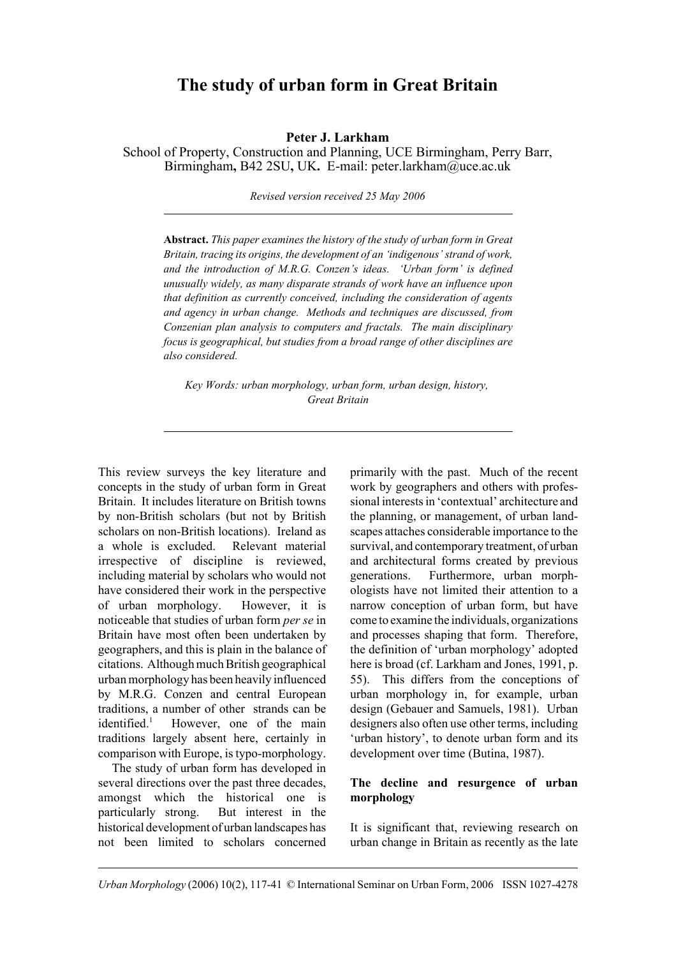# **The study of urban form in Great Britain**

**Peter J. Larkham**

School of Property, Construction and Planning, UCE Birmingham, Perry Barr, Birmingham**,** B42 2SU**,** UK**.** E-mail: peter.larkham@uce.ac.uk

*Revised version received 25 May 2006*

**Abstract.** *This paper examines the history of the study of urban form in Great Britain, tracing its origins, the development of an 'indigenous' strand of work, and the introduction of M.R.G. Conzen's ideas. 'Urban form' is defined unusually widely, as many disparate strands of work have an influence upon that definition as currently conceived, including the consideration of agents and agency in urban change. Methods and techniques are discussed, from Conzenian plan analysis to computers and fractals. The main disciplinary focus is geographical, but studies from a broad range of other disciplines are also considered.*

*Key Words: urban morphology, urban form, urban design, history, Great Britain*

This review surveys the key literature and concepts in the study of urban form in Great Britain. It includes literature on British towns by non-British scholars (but not by British scholars on non-British locations). Ireland as a whole is excluded. Relevant material irrespective of discipline is reviewed, including material by scholars who would not have considered their work in the perspective of urban morphology. However, it is noticeable that studies of urban form *per se* in Britain have most often been undertaken by geographers, and this is plain in the balance of citations. Although much British geographical urban morphology has been heavily influenced by M.R.G. Conzen and central European traditions, a number of other strands can be identified. $1$  However, one of the main traditions largely absent here, certainly in comparison with Europe, is typo-morphology.

The study of urban form has developed in several directions over the past three decades, amongst which the historical one is particularly strong. But interest in the historical development of urban landscapes has not been limited to scholars concerned

primarily with the past. Much of the recent work by geographers and others with professional interests in 'contextual' architecture and the planning, or management, of urban landscapes attaches considerable importance to the survival, and contemporary treatment, of urban and architectural forms created by previous generations. Furthermore, urban morphologists have not limited their attention to a narrow conception of urban form, but have come to examine the individuals, organizations and processes shaping that form. Therefore, the definition of 'urban morphology' adopted here is broad (cf. Larkham and Jones, 1991, p. 55). This differs from the conceptions of urban morphology in, for example, urban design (Gebauer and Samuels, 1981). Urban designers also often use other terms, including 'urban history', to denote urban form and its development over time (Butina, 1987).

# **The decline and resurgence of urban morphology**

It is significant that, reviewing research on urban change in Britain as recently as the late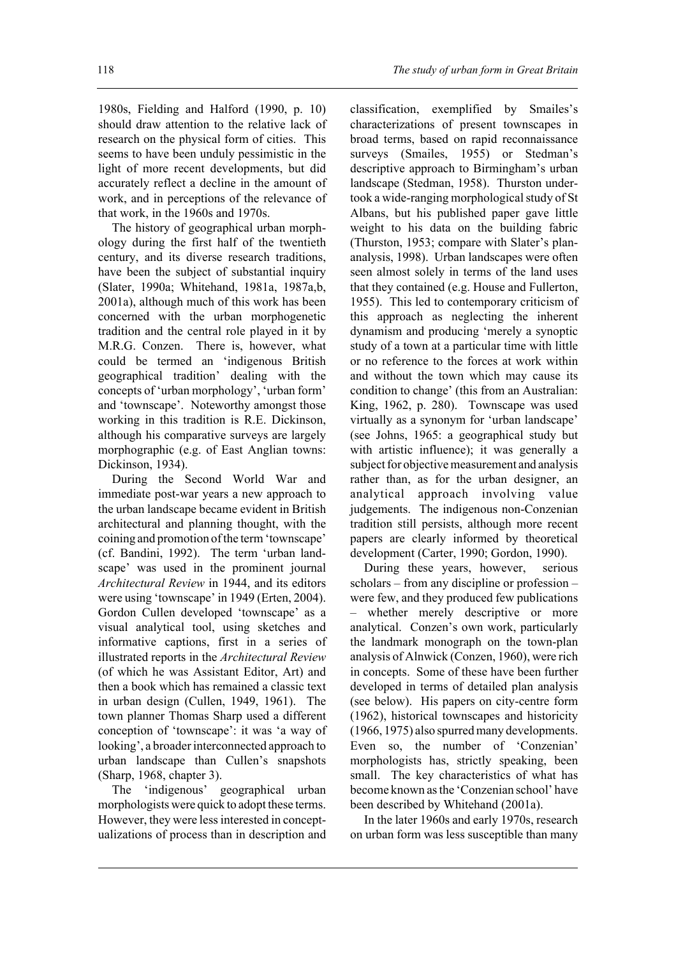1980s, Fielding and Halford (1990, p. 10) should draw attention to the relative lack of research on the physical form of cities. This seems to have been unduly pessimistic in the light of more recent developments, but did accurately reflect a decline in the amount of work, and in perceptions of the relevance of that work, in the 1960s and 1970s.

The history of geographical urban morphology during the first half of the twentieth century, and its diverse research traditions, have been the subject of substantial inquiry (Slater, 1990a; Whitehand, 1981a, 1987a,b, 2001a), although much of this work has been concerned with the urban morphogenetic tradition and the central role played in it by M.R.G. Conzen. There is, however, what could be termed an 'indigenous British geographical tradition' dealing with the concepts of 'urban morphology', 'urban form' and 'townscape'. Noteworthy amongst those working in this tradition is R.E. Dickinson, although his comparative surveys are largely morphographic (e.g. of East Anglian towns: Dickinson, 1934).

During the Second World War and immediate post-war years a new approach to the urban landscape became evident in British architectural and planning thought, with the coining and promotion of the term 'townscape' (cf. Bandini, 1992). The term 'urban landscape' was used in the prominent journal *Architectural Review* in 1944, and its editors were using 'townscape' in 1949 (Erten, 2004). Gordon Cullen developed 'townscape' as a visual analytical tool, using sketches and informative captions, first in a series of illustrated reports in the *Architectural Review* (of which he was Assistant Editor, Art) and then a book which has remained a classic text in urban design (Cullen, 1949, 1961). The town planner Thomas Sharp used a different conception of 'townscape': it was 'a way of looking', a broader interconnected approach to urban landscape than Cullen's snapshots (Sharp, 1968, chapter 3).

The 'indigenous' geographical urban morphologists were quick to adopt these terms. However, they were less interested in conceptualizations of process than in description and classification, exemplified by Smailes's characterizations of present townscapes in broad terms, based on rapid reconnaissance surveys (Smailes, 1955) or Stedman's descriptive approach to Birmingham's urban landscape (Stedman, 1958). Thurston undertook a wide-ranging morphological study of St Albans, but his published paper gave little weight to his data on the building fabric (Thurston, 1953; compare with Slater's plananalysis, 1998). Urban landscapes were often seen almost solely in terms of the land uses that they contained (e.g. House and Fullerton, 1955). This led to contemporary criticism of this approach as neglecting the inherent dynamism and producing 'merely a synoptic study of a town at a particular time with little or no reference to the forces at work within and without the town which may cause its condition to change' (this from an Australian: King, 1962, p. 280). Townscape was used virtually as a synonym for 'urban landscape' (see Johns, 1965: a geographical study but with artistic influence); it was generally a subject for objective measurement and analysis rather than, as for the urban designer, an analytical approach involving value judgements. The indigenous non-Conzenian tradition still persists, although more recent papers are clearly informed by theoretical development (Carter, 1990; Gordon, 1990).

During these years, however, serious scholars – from any discipline or profession – were few, and they produced few publications – whether merely descriptive or more analytical. Conzen's own work, particularly the landmark monograph on the town-plan analysis of Alnwick (Conzen, 1960), were rich in concepts. Some of these have been further developed in terms of detailed plan analysis (see below). His papers on city-centre form (1962), historical townscapes and historicity (1966, 1975) also spurred many developments. Even so, the number of 'Conzenian' morphologists has, strictly speaking, been small. The key characteristics of what has become known as the 'Conzenian school' have been described by Whitehand (2001a).

In the later 1960s and early 1970s, research on urban form was less susceptible than many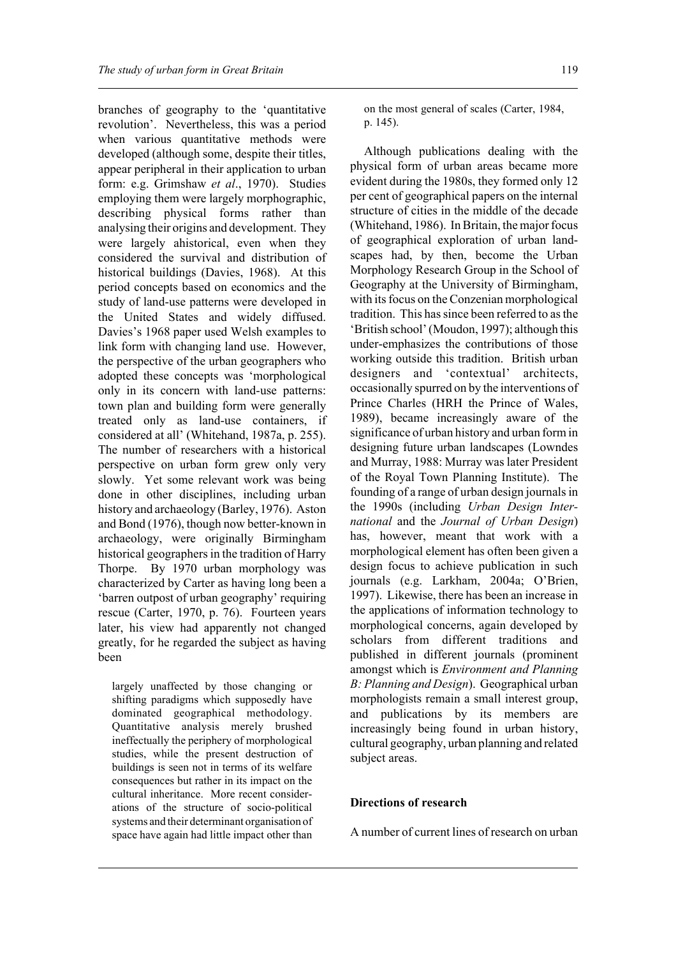branches of geography to the 'quantitative revolution'. Nevertheless, this was a period when various quantitative methods were developed (although some, despite their titles, appear peripheral in their application to urban form: e.g. Grimshaw *et al*., 1970). Studies employing them were largely morphographic, describing physical forms rather than analysing their origins and development. They were largely ahistorical, even when they considered the survival and distribution of historical buildings (Davies, 1968). At this period concepts based on economics and the study of land-use patterns were developed in the United States and widely diffused. Davies's 1968 paper used Welsh examples to link form with changing land use. However, the perspective of the urban geographers who adopted these concepts was 'morphological only in its concern with land-use patterns: town plan and building form were generally treated only as land-use containers, if considered at all' (Whitehand, 1987a, p. 255). The number of researchers with a historical perspective on urban form grew only very slowly. Yet some relevant work was being done in other disciplines, including urban history and archaeology (Barley, 1976). Aston and Bond (1976), though now better-known in archaeology, were originally Birmingham historical geographers in the tradition of Harry Thorpe. By 1970 urban morphology was characterized by Carter as having long been a 'barren outpost of urban geography' requiring rescue (Carter, 1970, p. 76). Fourteen years later, his view had apparently not changed greatly, for he regarded the subject as having been

largely unaffected by those changing or shifting paradigms which supposedly have dominated geographical methodology. Quantitative analysis merely brushed ineffectually the periphery of morphological studies, while the present destruction of buildings is seen not in terms of its welfare consequences but rather in its impact on the cultural inheritance. More recent considerations of the structure of socio-political systems and their determinant organisation of space have again had little impact other than

on the most general of scales (Carter, 1984, p. 145).

Although publications dealing with the physical form of urban areas became more evident during the 1980s, they formed only 12 per cent of geographical papers on the internal structure of cities in the middle of the decade (Whitehand, 1986). In Britain, the major focus of geographical exploration of urban landscapes had, by then, become the Urban Morphology Research Group in the School of Geography at the University of Birmingham, with its focus on the Conzenian morphological tradition. This has since been referred to as the 'British school' (Moudon, 1997); although this under-emphasizes the contributions of those working outside this tradition. British urban designers and 'contextual' architects, occasionally spurred on by the interventions of Prince Charles (HRH the Prince of Wales, 1989), became increasingly aware of the significance of urban history and urban form in designing future urban landscapes (Lowndes and Murray, 1988: Murray was later President of the Royal Town Planning Institute). The founding of a range of urban design journals in the 1990s (including *Urban Design International* and the *Journal of Urban Design*) has, however, meant that work with a morphological element has often been given a design focus to achieve publication in such journals (e.g. Larkham, 2004a; O'Brien, 1997). Likewise, there has been an increase in the applications of information technology to morphological concerns, again developed by scholars from different traditions and published in different journals (prominent amongst which is *Environment and Planning B: Planning and Design*). Geographical urban morphologists remain a small interest group, and publications by its members are increasingly being found in urban history, cultural geography, urban planning and related subject areas.

### **Directions of research**

A number of current lines of research on urban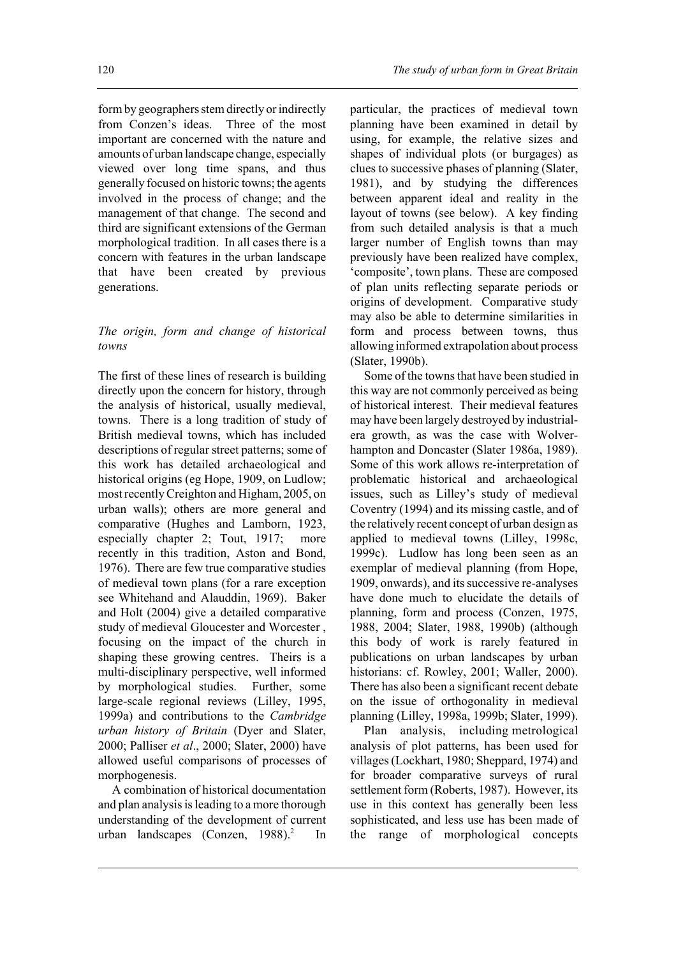form by geographers stem directly or indirectly from Conzen's ideas. Three of the most important are concerned with the nature and amounts of urban landscape change, especially viewed over long time spans, and thus generally focused on historic towns; the agents involved in the process of change; and the management of that change. The second and third are significant extensions of the German morphological tradition. In all cases there is a concern with features in the urban landscape that have been created by previous generations.

## *The origin, form and change of historical towns*

The first of these lines of research is building directly upon the concern for history, through the analysis of historical, usually medieval, towns. There is a long tradition of study of British medieval towns, which has included descriptions of regular street patterns; some of this work has detailed archaeological and historical origins (eg Hope, 1909, on Ludlow; most recently Creighton and Higham, 2005, on urban walls); others are more general and comparative (Hughes and Lamborn, 1923, especially chapter 2; Tout, 1917; more recently in this tradition, Aston and Bond, 1976). There are few true comparative studies of medieval town plans (for a rare exception see Whitehand and Alauddin, 1969). Baker and Holt (2004) give a detailed comparative study of medieval Gloucester and Worcester , focusing on the impact of the church in shaping these growing centres. Theirs is a multi-disciplinary perspective, well informed by morphological studies. Further, some large-scale regional reviews (Lilley, 1995, 1999a) and contributions to the *Cambridge urban history of Britain* (Dyer and Slater, 2000; Palliser *et al*., 2000; Slater, 2000) have allowed useful comparisons of processes of morphogenesis.

A combination of historical documentation and plan analysis is leading to a more thorough understanding of the development of current urban landscapes (Conzen, 1988).<sup>2</sup> In

particular, the practices of medieval town planning have been examined in detail by using, for example, the relative sizes and shapes of individual plots (or burgages) as clues to successive phases of planning (Slater, 1981), and by studying the differences between apparent ideal and reality in the layout of towns (see below). A key finding from such detailed analysis is that a much larger number of English towns than may previously have been realized have complex, 'composite', town plans. These are composed of plan units reflecting separate periods or origins of development. Comparative study may also be able to determine similarities in form and process between towns, thus allowing informed extrapolation about process (Slater, 1990b).

Some of the towns that have been studied in this way are not commonly perceived as being of historical interest. Their medieval features may have been largely destroyed by industrialera growth, as was the case with Wolverhampton and Doncaster (Slater 1986a, 1989). Some of this work allows re-interpretation of problematic historical and archaeological issues, such as Lilley's study of medieval Coventry (1994) and its missing castle, and of the relatively recent concept of urban design as applied to medieval towns (Lilley, 1998c, 1999c). Ludlow has long been seen as an exemplar of medieval planning (from Hope, 1909, onwards), and its successive re-analyses have done much to elucidate the details of planning, form and process (Conzen, 1975, 1988, 2004; Slater, 1988, 1990b) (although this body of work is rarely featured in publications on urban landscapes by urban historians: cf. Rowley, 2001; Waller, 2000). There has also been a significant recent debate on the issue of orthogonality in medieval planning (Lilley, 1998a, 1999b; Slater, 1999).

Plan analysis, including metrological analysis of plot patterns, has been used for villages (Lockhart, 1980; Sheppard, 1974) and for broader comparative surveys of rural settlement form (Roberts, 1987). However, its use in this context has generally been less sophisticated, and less use has been made of the range of morphological concepts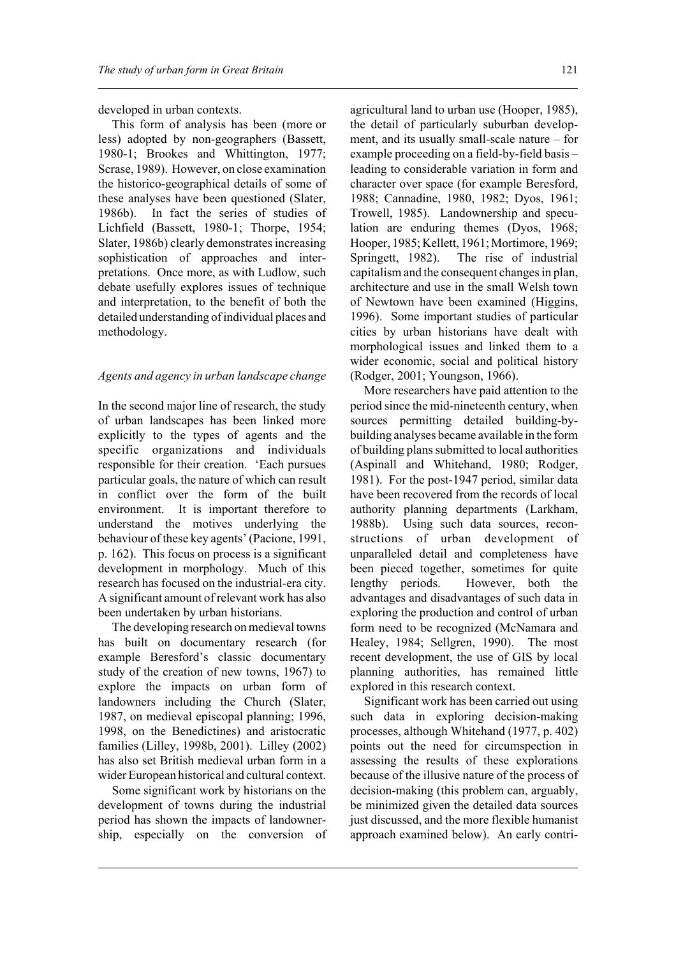developed in urban contexts.

This form of analysis has been (more or less) adopted by non-geographers (Bassett, 1980-1; Brookes and Whittington, 1977; Scrase, 1989). However, on close examination the historico-geographical details of some of these analyses have been questioned (Slater, 1986b). In fact the series of studies of Lichfield (Bassett, 1980-1; Thorpe, 1954; Slater, 1986b) clearly demonstrates increasing sophistication of approaches and interpretations. Once more, as with Ludlow, such debate usefully explores issues of technique and interpretation, to the benefit of both the detailed understanding of individual places and methodology.

#### *Agents and agency in urban landscape change*

In the second major line of research, the study of urban landscapes has been linked more explicitly to the types of agents and the specific organizations and individuals responsible for their creation. 'Each pursues particular goals, the nature of which can result in conflict over the form of the built environment. It is important therefore to understand the motives underlying the behaviour of these key agents' (Pacione, 1991, p. 162). This focus on process is a significant development in morphology. Much of this research has focused on the industrial-era city. A significant amount of relevant work has also been undertaken by urban historians.

The developing research on medieval towns has built on documentary research (for example Beresford's classic documentary study of the creation of new towns, 1967) to explore the impacts on urban form of landowners including the Church (Slater, 1987, on medieval episcopal planning; 1996, 1998, on the Benedictines) and aristocratic families (Lilley, 1998b, 2001). Lilley (2002) has also set British medieval urban form in a wider European historical and cultural context.

Some significant work by historians on the development of towns during the industrial period has shown the impacts of landownership, especially on the conversion of agricultural land to urban use (Hooper, 1985), the detail of particularly suburban development, and its usually small-scale nature – for example proceeding on a field-by-field basis – leading to considerable variation in form and character over space (for example Beresford, 1988; Cannadine, 1980, 1982; Dyos, 1961; Trowell, 1985). Landownership and speculation are enduring themes (Dyos, 1968; Hooper, 1985; Kellett, 1961; Mortimore, 1969; Springett, 1982). The rise of industrial capitalism and the consequent changes in plan, architecture and use in the small Welsh town of Newtown have been examined (Higgins, 1996). Some important studies of particular cities by urban historians have dealt with morphological issues and linked them to a wider economic, social and political history (Rodger, 2001; Youngson, 1966).

More researchers have paid attention to the period since the mid-nineteenth century, when sources permitting detailed building-bybuilding analyses became available in the form of building plans submitted to local authorities (Aspinall and Whitehand, 1980; Rodger, 1981). For the post-1947 period, similar data have been recovered from the records of local authority planning departments (Larkham, 1988b). Using such data sources, reconstructions of urban development of unparalleled detail and completeness have been pieced together, sometimes for quite lengthy periods. However, both the advantages and disadvantages of such data in exploring the production and control of urban form need to be recognized (McNamara and Healey, 1984; Sellgren, 1990). The most recent development, the use of GIS by local planning authorities, has remained little explored in this research context.

Significant work has been carried out using such data in exploring decision-making processes, although Whitehand (1977, p. 402) points out the need for circumspection in assessing the results of these explorations because of the illusive nature of the process of decision-making (this problem can, arguably, be minimized given the detailed data sources just discussed, and the more flexible humanist approach examined below). An early contri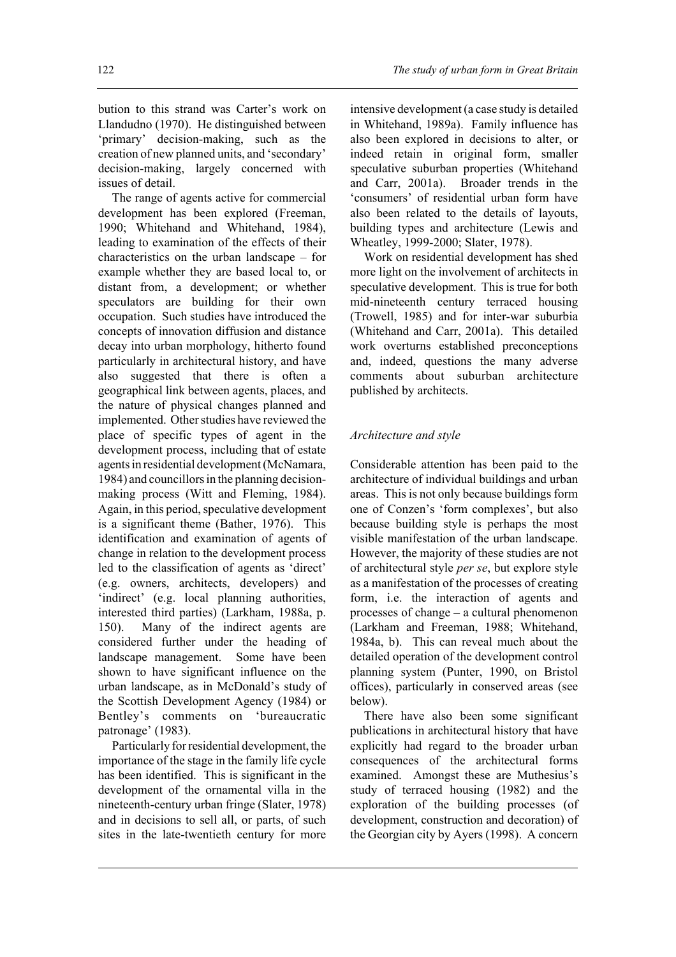bution to this strand was Carter's work on Llandudno (1970). He distinguished between 'primary' decision-making, such as the creation of new planned units, and 'secondary' decision-making, largely concerned with issues of detail.

The range of agents active for commercial development has been explored (Freeman, 1990; Whitehand and Whitehand, 1984), leading to examination of the effects of their characteristics on the urban landscape – for example whether they are based local to, or distant from, a development; or whether speculators are building for their own occupation. Such studies have introduced the concepts of innovation diffusion and distance decay into urban morphology, hitherto found particularly in architectural history, and have also suggested that there is often a geographical link between agents, places, and the nature of physical changes planned and implemented. Other studies have reviewed the place of specific types of agent in the development process, including that of estate agents in residential development (McNamara, 1984) and councillors in the planning decisionmaking process (Witt and Fleming, 1984). Again, in this period, speculative development is a significant theme (Bather, 1976). This identification and examination of agents of change in relation to the development process led to the classification of agents as 'direct' (e.g. owners, architects, developers) and 'indirect' (e.g. local planning authorities, interested third parties) (Larkham, 1988a, p. 150). Many of the indirect agents are considered further under the heading of landscape management. Some have been shown to have significant influence on the urban landscape, as in McDonald's study of the Scottish Development Agency (1984) or Bentley's comments on 'bureaucratic patronage' (1983).

Particularly for residential development, the importance of the stage in the family life cycle has been identified. This is significant in the development of the ornamental villa in the nineteenth-century urban fringe (Slater, 1978) and in decisions to sell all, or parts, of such sites in the late-twentieth century for more

intensive development (a case study is detailed in Whitehand, 1989a). Family influence has also been explored in decisions to alter, or indeed retain in original form, smaller speculative suburban properties (Whitehand and Carr, 2001a). Broader trends in the 'consumers' of residential urban form have also been related to the details of layouts, building types and architecture (Lewis and Wheatley, 1999-2000; Slater, 1978).

Work on residential development has shed more light on the involvement of architects in speculative development. This is true for both mid-nineteenth century terraced housing (Trowell, 1985) and for inter-war suburbia (Whitehand and Carr, 2001a). This detailed work overturns established preconceptions and, indeed, questions the many adverse comments about suburban architecture published by architects.

### *Architecture and style*

Considerable attention has been paid to the architecture of individual buildings and urban areas. This is not only because buildings form one of Conzen's 'form complexes', but also because building style is perhaps the most visible manifestation of the urban landscape. However, the majority of these studies are not of architectural style *per se*, but explore style as a manifestation of the processes of creating form, i.e. the interaction of agents and processes of change – a cultural phenomenon (Larkham and Freeman, 1988; Whitehand, 1984a, b). This can reveal much about the detailed operation of the development control planning system (Punter, 1990, on Bristol offices), particularly in conserved areas (see below).

There have also been some significant publications in architectural history that have explicitly had regard to the broader urban consequences of the architectural forms examined. Amongst these are Muthesius's study of terraced housing (1982) and the exploration of the building processes (of development, construction and decoration) of the Georgian city by Ayers (1998). A concern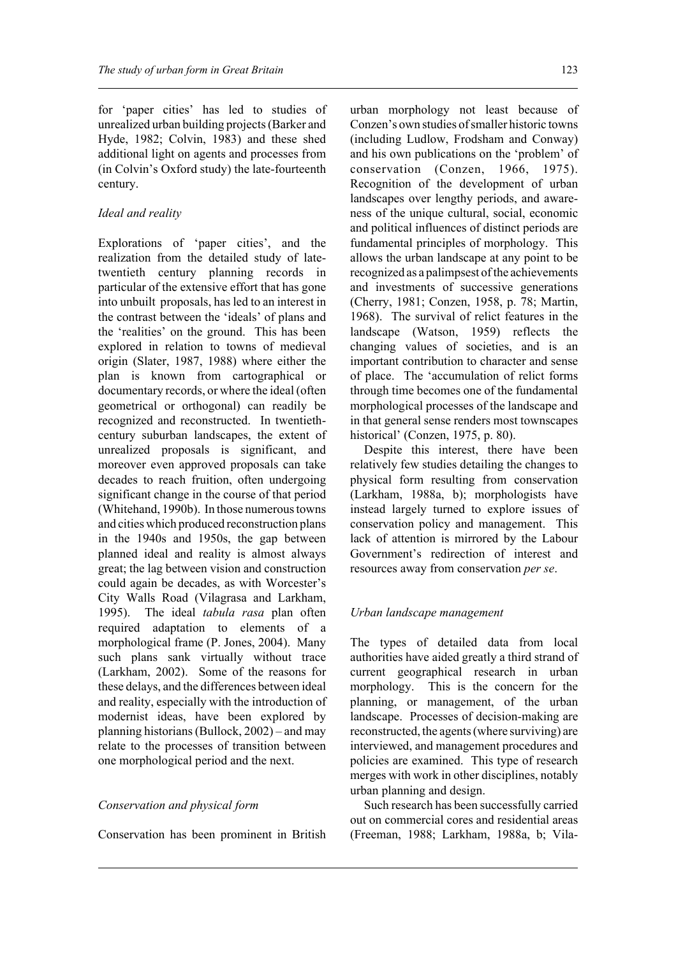for 'paper cities' has led to studies of unrealized urban building projects (Barker and Hyde, 1982; Colvin, 1983) and these shed additional light on agents and processes from (in Colvin's Oxford study) the late-fourteenth century.

### *Ideal and reality*

Explorations of 'paper cities', and the realization from the detailed study of latetwentieth century planning records in particular of the extensive effort that has gone into unbuilt proposals, has led to an interest in the contrast between the 'ideals' of plans and the 'realities' on the ground. This has been explored in relation to towns of medieval origin (Slater, 1987, 1988) where either the plan is known from cartographical or documentary records, or where the ideal (often geometrical or orthogonal) can readily be recognized and reconstructed. In twentiethcentury suburban landscapes, the extent of unrealized proposals is significant, and moreover even approved proposals can take decades to reach fruition, often undergoing significant change in the course of that period (Whitehand, 1990b). In those numerous towns and cities which produced reconstruction plans in the 1940s and 1950s, the gap between planned ideal and reality is almost always great; the lag between vision and construction could again be decades, as with Worcester's City Walls Road (Vilagrasa and Larkham, 1995). The ideal *tabula rasa* plan often required adaptation to elements of a morphological frame (P. Jones, 2004). Many such plans sank virtually without trace (Larkham, 2002). Some of the reasons for these delays, and the differences between ideal and reality, especially with the introduction of modernist ideas, have been explored by planning historians (Bullock, 2002) – and may relate to the processes of transition between one morphological period and the next.

### *Conservation and physical form*

Conservation has been prominent in British

urban morphology not least because of Conzen's own studies of smaller historic towns (including Ludlow, Frodsham and Conway) and his own publications on the 'problem' of conservation (Conzen, 1966, 1975). Recognition of the development of urban landscapes over lengthy periods, and awareness of the unique cultural, social, economic and political influences of distinct periods are fundamental principles of morphology. This allows the urban landscape at any point to be recognized as a palimpsest of the achievements and investments of successive generations (Cherry, 1981; Conzen, 1958, p. 78; Martin, 1968). The survival of relict features in the landscape (Watson, 1959) reflects the changing values of societies, and is an important contribution to character and sense of place. The 'accumulation of relict forms through time becomes one of the fundamental morphological processes of the landscape and in that general sense renders most townscapes historical' (Conzen, 1975, p. 80).

Despite this interest, there have been relatively few studies detailing the changes to physical form resulting from conservation (Larkham, 1988a, b); morphologists have instead largely turned to explore issues of conservation policy and management. This lack of attention is mirrored by the Labour Government's redirection of interest and resources away from conservation *per se*.

#### *Urban landscape management*

The types of detailed data from local authorities have aided greatly a third strand of current geographical research in urban morphology. This is the concern for the planning, or management, of the urban landscape. Processes of decision-making are reconstructed, the agents (where surviving) are interviewed, and management procedures and policies are examined. This type of research merges with work in other disciplines, notably urban planning and design.

Such research has been successfully carried out on commercial cores and residential areas (Freeman, 1988; Larkham, 1988a, b; Vila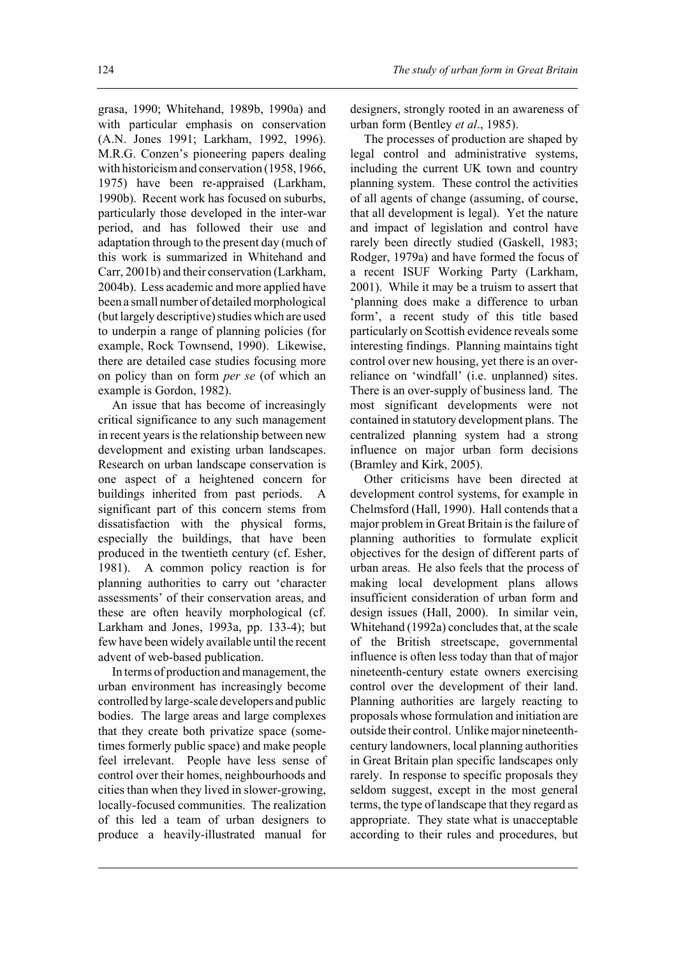grasa, 1990; Whitehand, 1989b, 1990a) and with particular emphasis on conservation (A.N. Jones 1991; Larkham, 1992, 1996). M.R.G. Conzen's pioneering papers dealing with historicism and conservation (1958, 1966, 1975) have been re-appraised (Larkham, 1990b). Recent work has focused on suburbs, particularly those developed in the inter-war period, and has followed their use and adaptation through to the present day (much of this work is summarized in Whitehand and Carr, 2001b) and their conservation (Larkham, 2004b). Less academic and more applied have been a small number of detailed morphological (but largely descriptive) studies which are used to underpin a range of planning policies (for example, Rock Townsend, 1990). Likewise, there are detailed case studies focusing more on policy than on form *per se* (of which an example is Gordon, 1982).

An issue that has become of increasingly critical significance to any such management in recent years is the relationship between new development and existing urban landscapes. Research on urban landscape conservation is one aspect of a heightened concern for buildings inherited from past periods. A significant part of this concern stems from dissatisfaction with the physical forms, especially the buildings, that have been produced in the twentieth century (cf. Esher, 1981). A common policy reaction is for planning authorities to carry out 'character assessments' of their conservation areas, and these are often heavily morphological (cf. Larkham and Jones, 1993a, pp. 133-4); but few have been widely available until the recent advent of web-based publication.

In terms of production and management, the urban environment has increasingly become controlled by large-scale developers and public bodies. The large areas and large complexes that they create both privatize space (sometimes formerly public space) and make people feel irrelevant. People have less sense of control over their homes, neighbourhoods and cities than when they lived in slower-growing, locally-focused communities. The realization of this led a team of urban designers to produce a heavily-illustrated manual for

designers, strongly rooted in an awareness of urban form (Bentley *et al*., 1985).

The processes of production are shaped by legal control and administrative systems, including the current UK town and country planning system. These control the activities of all agents of change (assuming, of course, that all development is legal). Yet the nature and impact of legislation and control have rarely been directly studied (Gaskell, 1983; Rodger, 1979a) and have formed the focus of a recent ISUF Working Party (Larkham, 2001). While it may be a truism to assert that 'planning does make a difference to urban form', a recent study of this title based particularly on Scottish evidence reveals some interesting findings. Planning maintains tight control over new housing, yet there is an overreliance on 'windfall' (i.e. unplanned) sites. There is an over-supply of business land. The most significant developments were not contained in statutory development plans. The centralized planning system had a strong influence on major urban form decisions (Bramley and Kirk, 2005).

Other criticisms have been directed at development control systems, for example in Chelmsford (Hall, 1990). Hall contends that a major problem in Great Britain is the failure of planning authorities to formulate explicit objectives for the design of different parts of urban areas. He also feels that the process of making local development plans allows insufficient consideration of urban form and design issues (Hall, 2000). In similar vein, Whitehand (1992a) concludes that, at the scale of the British streetscape, governmental influence is often less today than that of major nineteenth-century estate owners exercising control over the development of their land. Planning authorities are largely reacting to proposals whose formulation and initiation are outside their control. Unlike major nineteenthcentury landowners, local planning authorities in Great Britain plan specific landscapes only rarely. In response to specific proposals they seldom suggest, except in the most general terms, the type of landscape that they regard as appropriate. They state what is unacceptable according to their rules and procedures, but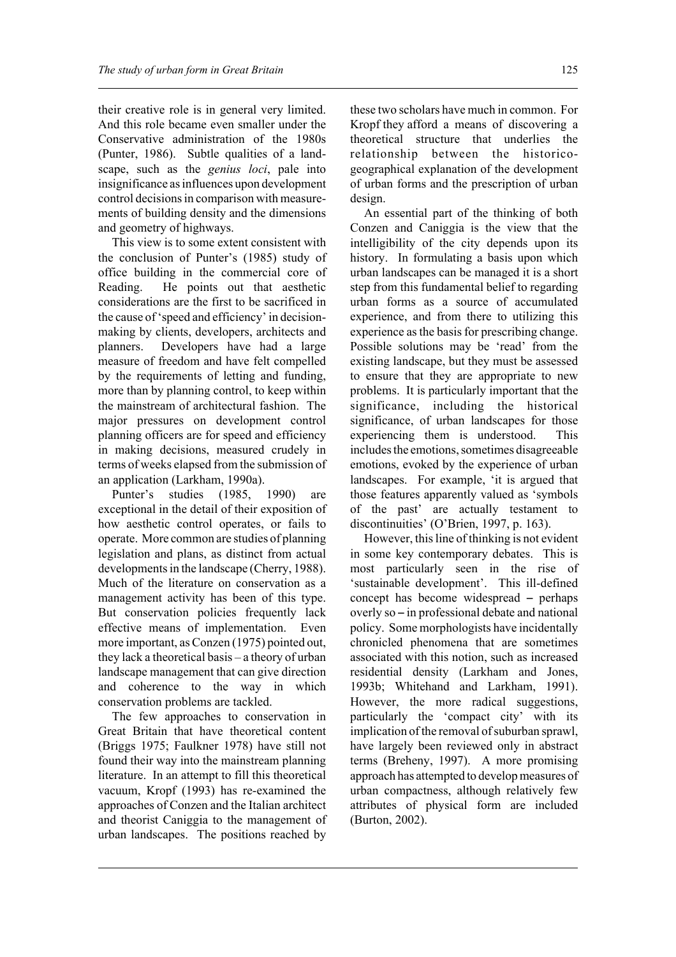their creative role is in general very limited. And this role became even smaller under the Conservative administration of the 1980s (Punter, 1986). Subtle qualities of a landscape, such as the *genius loci*, pale into insignificance as influences upon development control decisions in comparison with measurements of building density and the dimensions and geometry of highways.

This view is to some extent consistent with the conclusion of Punter's (1985) study of office building in the commercial core of Reading. He points out that aesthetic considerations are the first to be sacrificed in the cause of 'speed and efficiency' in decisionmaking by clients, developers, architects and planners. Developers have had a large measure of freedom and have felt compelled by the requirements of letting and funding, more than by planning control, to keep within the mainstream of architectural fashion. The major pressures on development control planning officers are for speed and efficiency in making decisions, measured crudely in terms of weeks elapsed from the submission of an application (Larkham, 1990a).

Punter's studies (1985, 1990) are exceptional in the detail of their exposition of how aesthetic control operates, or fails to operate. More common are studies of planning legislation and plans, as distinct from actual developments in the landscape (Cherry, 1988). Much of the literature on conservation as a management activity has been of this type. But conservation policies frequently lack effective means of implementation. Even more important, as Conzen (1975) pointed out, they lack a theoretical basis – a theory of urban landscape management that can give direction and coherence to the way in which conservation problems are tackled.

The few approaches to conservation in Great Britain that have theoretical content (Briggs 1975; Faulkner 1978) have still not found their way into the mainstream planning literature. In an attempt to fill this theoretical vacuum, Kropf (1993) has re-examined the approaches of Conzen and the Italian architect and theorist Caniggia to the management of urban landscapes. The positions reached by

these two scholars have much in common. For Kropf they afford a means of discovering a theoretical structure that underlies the relationship between the historicogeographical explanation of the development of urban forms and the prescription of urban design.

An essential part of the thinking of both Conzen and Caniggia is the view that the intelligibility of the city depends upon its history. In formulating a basis upon which urban landscapes can be managed it is a short step from this fundamental belief to regarding urban forms as a source of accumulated experience, and from there to utilizing this experience as the basis for prescribing change. Possible solutions may be 'read' from the existing landscape, but they must be assessed to ensure that they are appropriate to new problems. It is particularly important that the significance, including the historical significance, of urban landscapes for those experiencing them is understood. This includes the emotions, sometimes disagreeable emotions, evoked by the experience of urban landscapes. For example, 'it is argued that those features apparently valued as 'symbols of the past' are actually testament to discontinuities' (O'Brien, 1997, p. 163).

However, this line of thinking is not evident in some key contemporary debates. This is most particularly seen in the rise of 'sustainable development'. This ill-defined concept has become widespread  $-$  perhaps overly so  $-$  in professional debate and national policy. Some morphologists have incidentally chronicled phenomena that are sometimes associated with this notion, such as increased residential density (Larkham and Jones, 1993b; Whitehand and Larkham, 1991). However, the more radical suggestions, particularly the 'compact city' with its implication of the removal of suburban sprawl, have largely been reviewed only in abstract terms (Breheny, 1997). A more promising approach has attempted to develop measures of urban compactness, although relatively few attributes of physical form are included (Burton, 2002).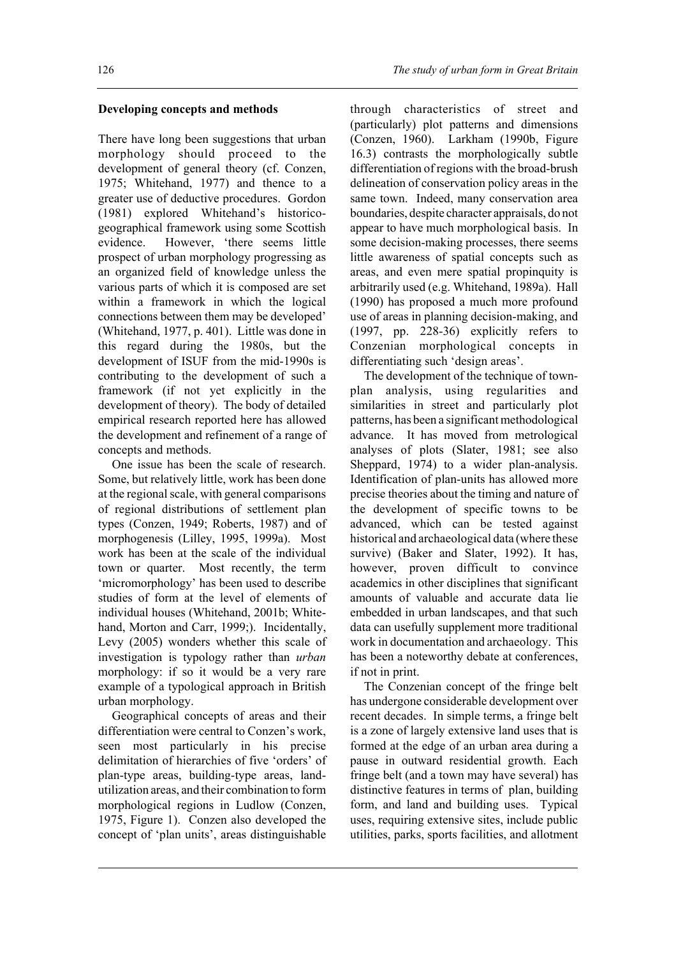# **Developing concepts and methods**

There have long been suggestions that urban morphology should proceed to the development of general theory (cf. Conzen, 1975; Whitehand, 1977) and thence to a greater use of deductive procedures. Gordon (1981) explored Whitehand's historicogeographical framework using some Scottish evidence. However, 'there seems little prospect of urban morphology progressing as an organized field of knowledge unless the various parts of which it is composed are set within a framework in which the logical connections between them may be developed' (Whitehand, 1977, p. 401). Little was done in this regard during the 1980s, but the development of ISUF from the mid-1990s is contributing to the development of such a framework (if not yet explicitly in the development of theory). The body of detailed empirical research reported here has allowed the development and refinement of a range of concepts and methods.

One issue has been the scale of research. Some, but relatively little, work has been done at the regional scale, with general comparisons of regional distributions of settlement plan types (Conzen, 1949; Roberts, 1987) and of morphogenesis (Lilley, 1995, 1999a). Most work has been at the scale of the individual town or quarter. Most recently, the term 'micromorphology' has been used to describe studies of form at the level of elements of individual houses (Whitehand, 2001b; Whitehand, Morton and Carr, 1999;). Incidentally, Levy (2005) wonders whether this scale of investigation is typology rather than *urban* morphology: if so it would be a very rare example of a typological approach in British urban morphology.

Geographical concepts of areas and their differentiation were central to Conzen's work, seen most particularly in his precise delimitation of hierarchies of five 'orders' of plan-type areas, building-type areas, landutilization areas, and their combination to form morphological regions in Ludlow (Conzen, 1975, Figure 1). Conzen also developed the concept of 'plan units', areas distinguishable

through characteristics of street and (particularly) plot patterns and dimensions (Conzen, 1960). Larkham (1990b, Figure 16.3) contrasts the morphologically subtle differentiation of regions with the broad-brush delineation of conservation policy areas in the same town. Indeed, many conservation area boundaries, despite character appraisals, do not appear to have much morphological basis. In some decision-making processes, there seems little awareness of spatial concepts such as areas, and even mere spatial propinquity is arbitrarily used (e.g. Whitehand, 1989a). Hall (1990) has proposed a much more profound use of areas in planning decision-making, and (1997, pp. 228-36) explicitly refers to Conzenian morphological concepts in differentiating such 'design areas'.

The development of the technique of townplan analysis, using regularities and similarities in street and particularly plot patterns, has been a significant methodological advance. It has moved from metrological analyses of plots (Slater, 1981; see also Sheppard, 1974) to a wider plan-analysis. Identification of plan-units has allowed more precise theories about the timing and nature of the development of specific towns to be advanced, which can be tested against historical and archaeological data (where these survive) (Baker and Slater, 1992). It has, however, proven difficult to convince academics in other disciplines that significant amounts of valuable and accurate data lie embedded in urban landscapes, and that such data can usefully supplement more traditional work in documentation and archaeology. This has been a noteworthy debate at conferences, if not in print.

The Conzenian concept of the fringe belt has undergone considerable development over recent decades. In simple terms, a fringe belt is a zone of largely extensive land uses that is formed at the edge of an urban area during a pause in outward residential growth. Each fringe belt (and a town may have several) has distinctive features in terms of plan, building form, and land and building uses. Typical uses, requiring extensive sites, include public utilities, parks, sports facilities, and allotment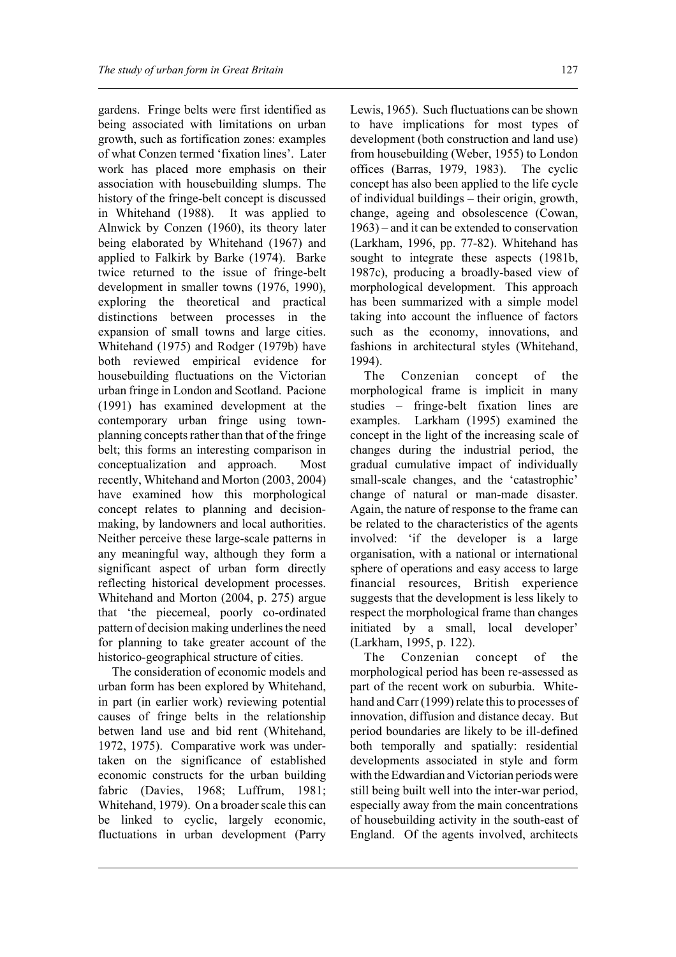gardens. Fringe belts were first identified as being associated with limitations on urban growth, such as fortification zones: examples of what Conzen termed 'fixation lines'. Later work has placed more emphasis on their association with housebuilding slumps. The history of the fringe-belt concept is discussed in Whitehand (1988). It was applied to Alnwick by Conzen (1960), its theory later being elaborated by Whitehand (1967) and applied to Falkirk by Barke (1974). Barke twice returned to the issue of fringe-belt development in smaller towns (1976, 1990), exploring the theoretical and practical distinctions between processes in the expansion of small towns and large cities. Whitehand (1975) and Rodger (1979b) have both reviewed empirical evidence for housebuilding fluctuations on the Victorian urban fringe in London and Scotland. Pacione (1991) has examined development at the contemporary urban fringe using townplanning concepts rather than that of the fringe belt; this forms an interesting comparison in conceptualization and approach. Most recently, Whitehand and Morton (2003, 2004) have examined how this morphological concept relates to planning and decisionmaking, by landowners and local authorities. Neither perceive these large-scale patterns in any meaningful way, although they form a significant aspect of urban form directly reflecting historical development processes. Whitehand and Morton (2004, p. 275) argue that 'the piecemeal, poorly co-ordinated pattern of decision making underlines the need for planning to take greater account of the historico-geographical structure of cities.

The consideration of economic models and urban form has been explored by Whitehand, in part (in earlier work) reviewing potential causes of fringe belts in the relationship betwen land use and bid rent (Whitehand, 1972, 1975). Comparative work was undertaken on the significance of established economic constructs for the urban building fabric (Davies, 1968; Luffrum, 1981; Whitehand, 1979). On a broader scale this can be linked to cyclic, largely economic, fluctuations in urban development (Parry

Lewis, 1965). Such fluctuations can be shown to have implications for most types of development (both construction and land use) from housebuilding (Weber, 1955) to London offices (Barras, 1979, 1983). The cyclic concept has also been applied to the life cycle of individual buildings – their origin, growth, change, ageing and obsolescence (Cowan, 1963) – and it can be extended to conservation (Larkham, 1996, pp. 77-82). Whitehand has sought to integrate these aspects (1981b, 1987c), producing a broadly-based view of morphological development. This approach has been summarized with a simple model taking into account the influence of factors such as the economy, innovations, and fashions in architectural styles (Whitehand, 1994).

The Conzenian concept of the morphological frame is implicit in many studies – fringe-belt fixation lines are examples. Larkham (1995) examined the concept in the light of the increasing scale of changes during the industrial period, the gradual cumulative impact of individually small-scale changes, and the 'catastrophic' change of natural or man-made disaster. Again, the nature of response to the frame can be related to the characteristics of the agents involved: 'if the developer is a large organisation, with a national or international sphere of operations and easy access to large financial resources, British experience suggests that the development is less likely to respect the morphological frame than changes initiated by a small, local developer' (Larkham, 1995, p. 122).

The Conzenian concept of the morphological period has been re-assessed as part of the recent work on suburbia. Whitehand and Carr (1999) relate this to processes of innovation, diffusion and distance decay. But period boundaries are likely to be ill-defined both temporally and spatially: residential developments associated in style and form with the Edwardian and Victorian periods were still being built well into the inter-war period, especially away from the main concentrations of housebuilding activity in the south-east of England. Of the agents involved, architects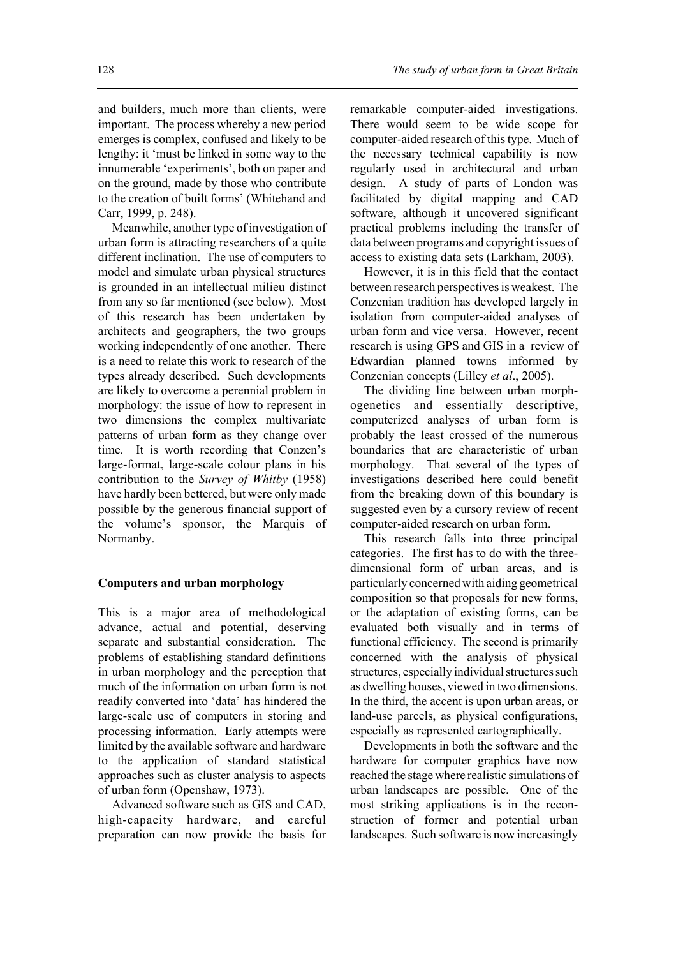and builders, much more than clients, were important. The process whereby a new period emerges is complex, confused and likely to be lengthy: it 'must be linked in some way to the innumerable 'experiments', both on paper and on the ground, made by those who contribute to the creation of built forms' (Whitehand and Carr, 1999, p. 248).

Meanwhile, another type of investigation of urban form is attracting researchers of a quite different inclination. The use of computers to model and simulate urban physical structures is grounded in an intellectual milieu distinct from any so far mentioned (see below). Most of this research has been undertaken by architects and geographers, the two groups working independently of one another. There is a need to relate this work to research of the types already described. Such developments are likely to overcome a perennial problem in morphology: the issue of how to represent in two dimensions the complex multivariate patterns of urban form as they change over time. It is worth recording that Conzen's large-format, large-scale colour plans in his contribution to the *Survey of Whitby* (1958) have hardly been bettered, but were only made possible by the generous financial support of the volume's sponsor, the Marquis of Normanby.

### **Computers and urban morphology**

This is a major area of methodological advance, actual and potential, deserving separate and substantial consideration. The problems of establishing standard definitions in urban morphology and the perception that much of the information on urban form is not readily converted into 'data' has hindered the large-scale use of computers in storing and processing information. Early attempts were limited by the available software and hardware to the application of standard statistical approaches such as cluster analysis to aspects of urban form (Openshaw, 1973).

Advanced software such as GIS and CAD, high-capacity hardware, and careful preparation can now provide the basis for remarkable computer-aided investigations. There would seem to be wide scope for computer-aided research of this type. Much of the necessary technical capability is now regularly used in architectural and urban design. A study of parts of London was facilitated by digital mapping and CAD software, although it uncovered significant practical problems including the transfer of data between programs and copyright issues of access to existing data sets (Larkham, 2003).

However, it is in this field that the contact between research perspectives is weakest. The Conzenian tradition has developed largely in isolation from computer-aided analyses of urban form and vice versa. However, recent research is using GPS and GIS in a review of Edwardian planned towns informed by Conzenian concepts (Lilley *et al*., 2005).

The dividing line between urban morphogenetics and essentially descriptive, computerized analyses of urban form is probably the least crossed of the numerous boundaries that are characteristic of urban morphology. That several of the types of investigations described here could benefit from the breaking down of this boundary is suggested even by a cursory review of recent computer-aided research on urban form.

This research falls into three principal categories. The first has to do with the threedimensional form of urban areas, and is particularly concerned with aiding geometrical composition so that proposals for new forms, or the adaptation of existing forms, can be evaluated both visually and in terms of functional efficiency. The second is primarily concerned with the analysis of physical structures, especially individual structures such as dwelling houses, viewed in two dimensions. In the third, the accent is upon urban areas, or land-use parcels, as physical configurations, especially as represented cartographically.

Developments in both the software and the hardware for computer graphics have now reached the stage where realistic simulations of urban landscapes are possible. One of the most striking applications is in the reconstruction of former and potential urban landscapes. Such software is now increasingly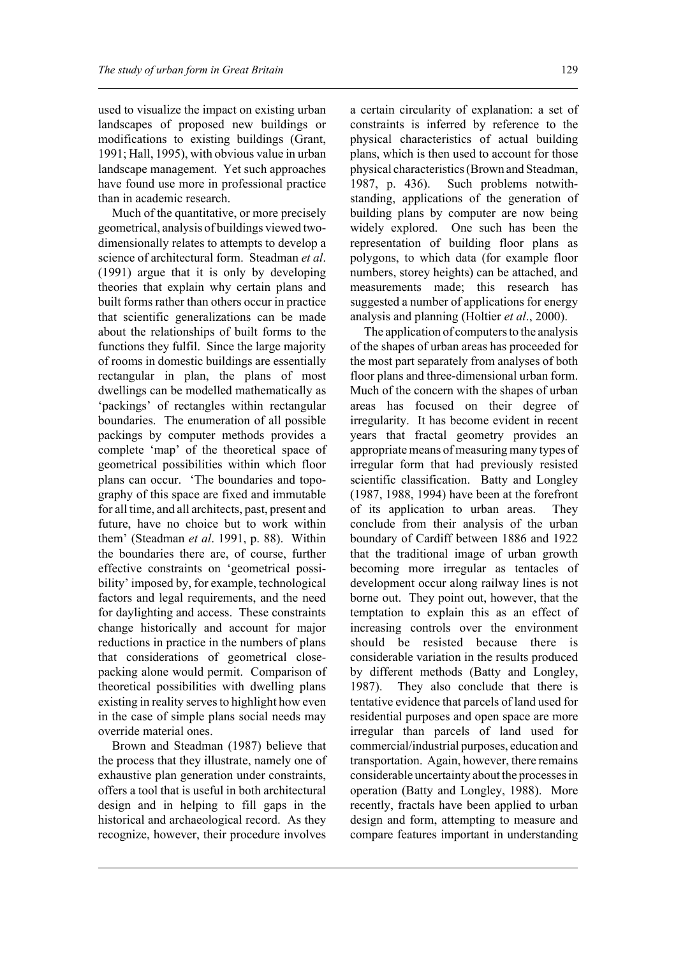used to visualize the impact on existing urban landscapes of proposed new buildings or modifications to existing buildings (Grant, 1991; Hall, 1995), with obvious value in urban landscape management. Yet such approaches have found use more in professional practice than in academic research.

Much of the quantitative, or more precisely geometrical, analysis of buildings viewed twodimensionally relates to attempts to develop a science of architectural form. Steadman *et al*. (1991) argue that it is only by developing theories that explain why certain plans and built forms rather than others occur in practice that scientific generalizations can be made about the relationships of built forms to the functions they fulfil. Since the large majority of rooms in domestic buildings are essentially rectangular in plan, the plans of most dwellings can be modelled mathematically as 'packings' of rectangles within rectangular boundaries. The enumeration of all possible packings by computer methods provides a complete 'map' of the theoretical space of geometrical possibilities within which floor plans can occur. 'The boundaries and topography of this space are fixed and immutable for all time, and all architects, past, present and future, have no choice but to work within them' (Steadman *et al*. 1991, p. 88). Within the boundaries there are, of course, further effective constraints on 'geometrical possibility' imposed by, for example, technological factors and legal requirements, and the need for daylighting and access. These constraints change historically and account for major reductions in practice in the numbers of plans that considerations of geometrical closepacking alone would permit. Comparison of theoretical possibilities with dwelling plans existing in reality serves to highlight how even in the case of simple plans social needs may override material ones.

Brown and Steadman (1987) believe that the process that they illustrate, namely one of exhaustive plan generation under constraints, offers a tool that is useful in both architectural design and in helping to fill gaps in the historical and archaeological record. As they recognize, however, their procedure involves

a certain circularity of explanation: a set of constraints is inferred by reference to the physical characteristics of actual building plans, which is then used to account for those physical characteristics (Brown and Steadman, 1987, p. 436). Such problems notwithstanding, applications of the generation of building plans by computer are now being widely explored. One such has been the representation of building floor plans as polygons, to which data (for example floor numbers, storey heights) can be attached, and measurements made; this research has suggested a number of applications for energy analysis and planning (Holtier *et al*., 2000).

The application of computers to the analysis of the shapes of urban areas has proceeded for the most part separately from analyses of both floor plans and three-dimensional urban form. Much of the concern with the shapes of urban areas has focused on their degree of irregularity. It has become evident in recent years that fractal geometry provides an appropriate means of measuring many types of irregular form that had previously resisted scientific classification. Batty and Longley (1987, 1988, 1994) have been at the forefront of its application to urban areas. They conclude from their analysis of the urban boundary of Cardiff between 1886 and 1922 that the traditional image of urban growth becoming more irregular as tentacles of development occur along railway lines is not borne out. They point out, however, that the temptation to explain this as an effect of increasing controls over the environment should be resisted because there is considerable variation in the results produced by different methods (Batty and Longley, 1987). They also conclude that there is tentative evidence that parcels of land used for residential purposes and open space are more irregular than parcels of land used for commercial/industrial purposes, education and transportation. Again, however, there remains considerable uncertainty about the processes in operation (Batty and Longley, 1988). More recently, fractals have been applied to urban design and form, attempting to measure and compare features important in understanding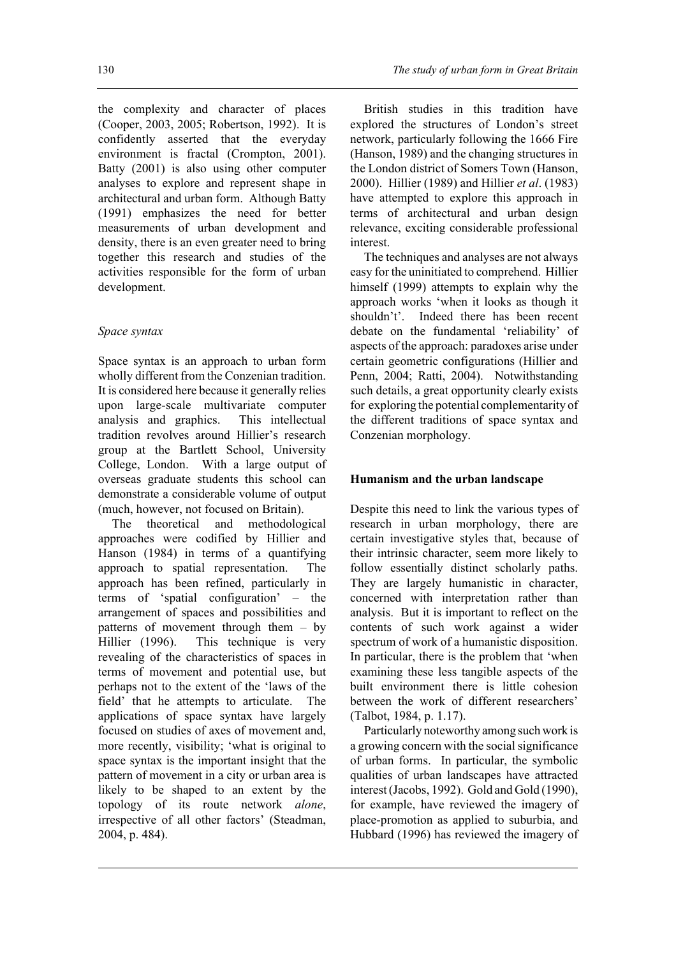the complexity and character of places (Cooper, 2003, 2005; Robertson, 1992). It is confidently asserted that the everyday environment is fractal (Crompton, 2001). Batty (2001) is also using other computer analyses to explore and represent shape in architectural and urban form. Although Batty (1991) emphasizes the need for better measurements of urban development and density, there is an even greater need to bring together this research and studies of the activities responsible for the form of urban development.

# *Space syntax*

Space syntax is an approach to urban form wholly different from the Conzenian tradition. It is considered here because it generally relies upon large-scale multivariate computer analysis and graphics. This intellectual tradition revolves around Hillier's research group at the Bartlett School, University College, London. With a large output of overseas graduate students this school can demonstrate a considerable volume of output (much, however, not focused on Britain).

The theoretical and methodological approaches were codified by Hillier and Hanson (1984) in terms of a quantifying approach to spatial representation. The approach has been refined, particularly in terms of 'spatial configuration' – the arrangement of spaces and possibilities and patterns of movement through them – by Hillier (1996). This technique is very revealing of the characteristics of spaces in terms of movement and potential use, but perhaps not to the extent of the 'laws of the field' that he attempts to articulate. The applications of space syntax have largely focused on studies of axes of movement and, more recently, visibility; 'what is original to space syntax is the important insight that the pattern of movement in a city or urban area is likely to be shaped to an extent by the topology of its route network *alone*, irrespective of all other factors' (Steadman, 2004, p. 484).

British studies in this tradition have explored the structures of London's street network, particularly following the 1666 Fire (Hanson, 1989) and the changing structures in the London district of Somers Town (Hanson, 2000). Hillier (1989) and Hillier *et al*. (1983) have attempted to explore this approach in terms of architectural and urban design relevance, exciting considerable professional interest.

The techniques and analyses are not always easy for the uninitiated to comprehend. Hillier himself (1999) attempts to explain why the approach works 'when it looks as though it shouldn't'. Indeed there has been recent debate on the fundamental 'reliability' of aspects of the approach: paradoxes arise under certain geometric configurations (Hillier and Penn, 2004; Ratti, 2004). Notwithstanding such details, a great opportunity clearly exists for exploring the potential complementarity of the different traditions of space syntax and Conzenian morphology.

# **Humanism and the urban landscape**

Despite this need to link the various types of research in urban morphology, there are certain investigative styles that, because of their intrinsic character, seem more likely to follow essentially distinct scholarly paths. They are largely humanistic in character, concerned with interpretation rather than analysis. But it is important to reflect on the contents of such work against a wider spectrum of work of a humanistic disposition. In particular, there is the problem that 'when examining these less tangible aspects of the built environment there is little cohesion between the work of different researchers' (Talbot, 1984, p. 1.17).

Particularly noteworthy among such work is a growing concern with the social significance of urban forms. In particular, the symbolic qualities of urban landscapes have attracted interest (Jacobs, 1992). Gold and Gold (1990), for example, have reviewed the imagery of place-promotion as applied to suburbia, and Hubbard (1996) has reviewed the imagery of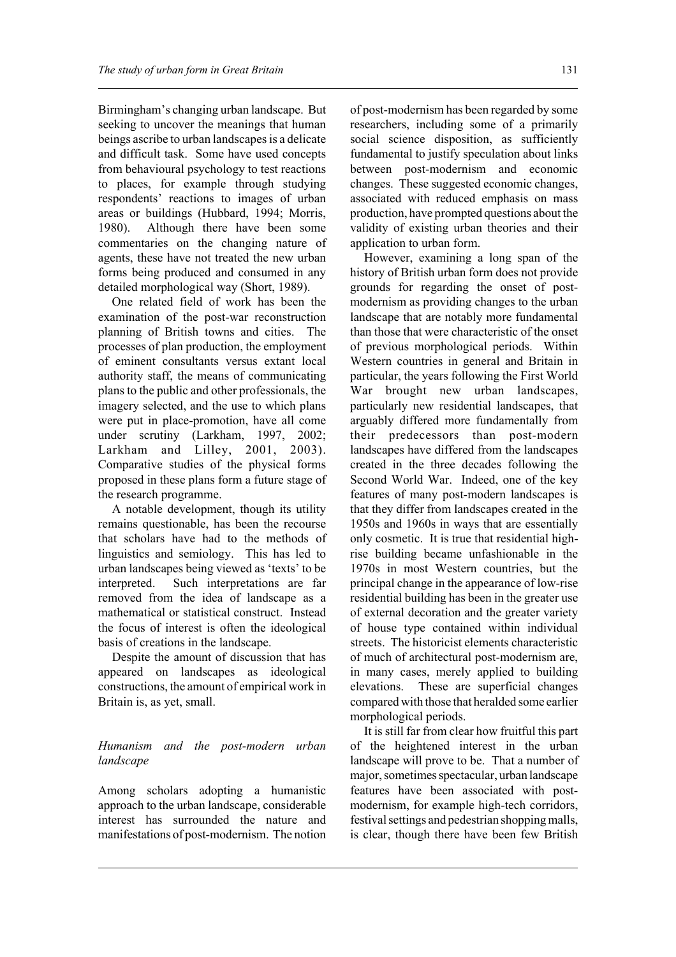Birmingham's changing urban landscape. But seeking to uncover the meanings that human beings ascribe to urban landscapes is a delicate and difficult task. Some have used concepts from behavioural psychology to test reactions to places, for example through studying respondents' reactions to images of urban areas or buildings (Hubbard, 1994; Morris, 1980). Although there have been some commentaries on the changing nature of agents, these have not treated the new urban forms being produced and consumed in any detailed morphological way (Short, 1989).

One related field of work has been the examination of the post-war reconstruction planning of British towns and cities. The processes of plan production, the employment of eminent consultants versus extant local authority staff, the means of communicating plans to the public and other professionals, the imagery selected, and the use to which plans were put in place-promotion, have all come under scrutiny (Larkham, 1997, 2002; Larkham and Lilley, 2001, 2003). Comparative studies of the physical forms proposed in these plans form a future stage of the research programme.

A notable development, though its utility remains questionable, has been the recourse that scholars have had to the methods of linguistics and semiology. This has led to urban landscapes being viewed as 'texts' to be interpreted. Such interpretations are far removed from the idea of landscape as a mathematical or statistical construct. Instead the focus of interest is often the ideological basis of creations in the landscape.

Despite the amount of discussion that has appeared on landscapes as ideological constructions, the amount of empirical work in Britain is, as yet, small.

# *Humanism and the post-modern urban landscape*

Among scholars adopting a humanistic approach to the urban landscape, considerable interest has surrounded the nature and manifestations of post-modernism. The notion of post-modernism has been regarded by some researchers, including some of a primarily social science disposition, as sufficiently fundamental to justify speculation about links between post-modernism and economic changes. These suggested economic changes, associated with reduced emphasis on mass production, have prompted questions about the validity of existing urban theories and their application to urban form.

However, examining a long span of the history of British urban form does not provide grounds for regarding the onset of postmodernism as providing changes to the urban landscape that are notably more fundamental than those that were characteristic of the onset of previous morphological periods. Within Western countries in general and Britain in particular, the years following the First World War brought new urban landscapes, particularly new residential landscapes, that arguably differed more fundamentally from their predecessors than post-modern landscapes have differed from the landscapes created in the three decades following the Second World War. Indeed, one of the key features of many post-modern landscapes is that they differ from landscapes created in the 1950s and 1960s in ways that are essentially only cosmetic. It is true that residential highrise building became unfashionable in the 1970s in most Western countries, but the principal change in the appearance of low-rise residential building has been in the greater use of external decoration and the greater variety of house type contained within individual streets. The historicist elements characteristic of much of architectural post-modernism are, in many cases, merely applied to building elevations. These are superficial changes compared with those that heralded some earlier morphological periods.

It is still far from clear how fruitful this part of the heightened interest in the urban landscape will prove to be. That a number of major, sometimes spectacular, urban landscape features have been associated with postmodernism, for example high-tech corridors, festival settings and pedestrian shopping malls, is clear, though there have been few British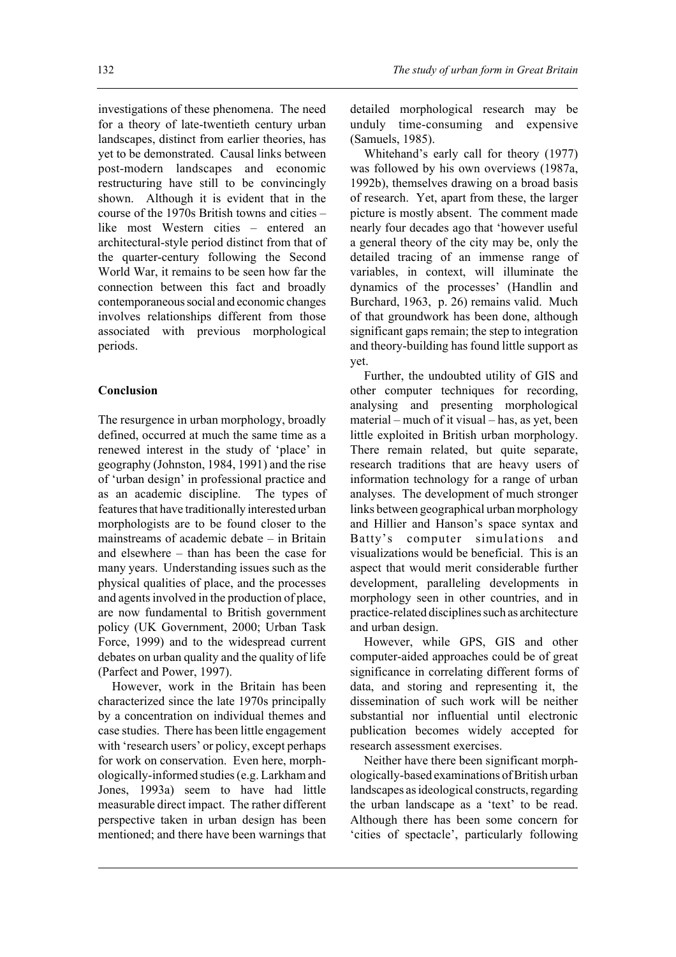investigations of these phenomena. The need for a theory of late-twentieth century urban landscapes, distinct from earlier theories, has yet to be demonstrated. Causal links between post-modern landscapes and economic restructuring have still to be convincingly shown. Although it is evident that in the course of the 1970s British towns and cities – like most Western cities – entered an architectural-style period distinct from that of the quarter-century following the Second World War, it remains to be seen how far the connection between this fact and broadly contemporaneous social and economic changes involves relationships different from those associated with previous morphological periods.

### **Conclusion**

The resurgence in urban morphology, broadly defined, occurred at much the same time as a renewed interest in the study of 'place' in geography (Johnston, 1984, 1991) and the rise of 'urban design' in professional practice and as an academic discipline. The types of features that have traditionally interested urban morphologists are to be found closer to the mainstreams of academic debate – in Britain and elsewhere – than has been the case for many years. Understanding issues such as the physical qualities of place, and the processes and agents involved in the production of place, are now fundamental to British government policy (UK Government, 2000; Urban Task Force, 1999) and to the widespread current debates on urban quality and the quality of life (Parfect and Power, 1997).

However, work in the Britain has been characterized since the late 1970s principally by a concentration on individual themes and case studies. There has been little engagement with 'research users' or policy, except perhaps for work on conservation. Even here, morphologically-informed studies (e.g. Larkham and Jones, 1993a) seem to have had little measurable direct impact. The rather different perspective taken in urban design has been mentioned; and there have been warnings that

detailed morphological research may be unduly time-consuming and expensive (Samuels, 1985).

Whitehand's early call for theory (1977) was followed by his own overviews (1987a, 1992b), themselves drawing on a broad basis of research. Yet, apart from these, the larger picture is mostly absent. The comment made nearly four decades ago that 'however useful a general theory of the city may be, only the detailed tracing of an immense range of variables, in context, will illuminate the dynamics of the processes' (Handlin and Burchard, 1963, p. 26) remains valid. Much of that groundwork has been done, although significant gaps remain; the step to integration and theory-building has found little support as yet.

Further, the undoubted utility of GIS and other computer techniques for recording, analysing and presenting morphological material – much of it visual – has, as yet, been little exploited in British urban morphology. There remain related, but quite separate, research traditions that are heavy users of information technology for a range of urban analyses. The development of much stronger links between geographical urban morphology and Hillier and Hanson's space syntax and Batty's computer simulations and visualizations would be beneficial. This is an aspect that would merit considerable further development, paralleling developments in morphology seen in other countries, and in practice-related disciplines such as architecture and urban design.

However, while GPS, GIS and other computer-aided approaches could be of great significance in correlating different forms of data, and storing and representing it, the dissemination of such work will be neither substantial nor influential until electronic publication becomes widely accepted for research assessment exercises.

Neither have there been significant morphologically-based examinations of British urban landscapes as ideological constructs, regarding the urban landscape as a 'text' to be read. Although there has been some concern for 'cities of spectacle', particularly following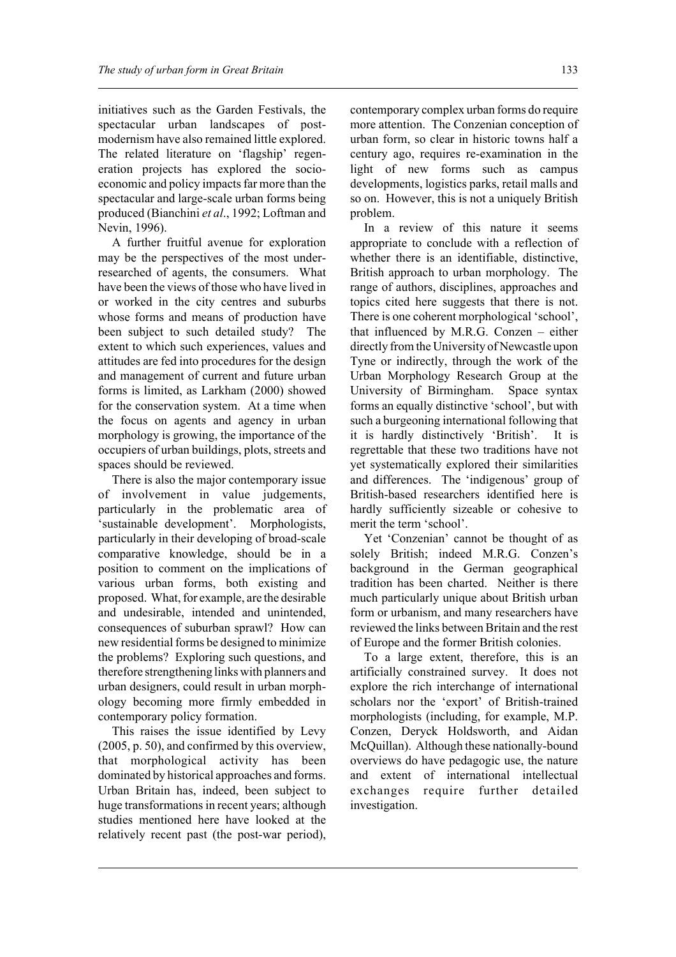initiatives such as the Garden Festivals, the spectacular urban landscapes of postmodernism have also remained little explored. The related literature on 'flagship' regeneration projects has explored the socioeconomic and policy impacts far more than the spectacular and large-scale urban forms being produced (Bianchini *et al*., 1992; Loftman and Nevin, 1996).

A further fruitful avenue for exploration may be the perspectives of the most underresearched of agents, the consumers. What have been the views of those who have lived in or worked in the city centres and suburbs whose forms and means of production have been subject to such detailed study? The extent to which such experiences, values and attitudes are fed into procedures for the design and management of current and future urban forms is limited, as Larkham (2000) showed for the conservation system. At a time when the focus on agents and agency in urban morphology is growing, the importance of the occupiers of urban buildings, plots, streets and spaces should be reviewed.

There is also the major contemporary issue of involvement in value judgements, particularly in the problematic area of 'sustainable development'. Morphologists, particularly in their developing of broad-scale comparative knowledge, should be in a position to comment on the implications of various urban forms, both existing and proposed. What, for example, are the desirable and undesirable, intended and unintended, consequences of suburban sprawl? How can new residential forms be designed to minimize the problems? Exploring such questions, and therefore strengthening links with planners and urban designers, could result in urban morphology becoming more firmly embedded in contemporary policy formation.

This raises the issue identified by Levy (2005, p. 50), and confirmed by this overview, that morphological activity has been dominated by historical approaches and forms. Urban Britain has, indeed, been subject to huge transformations in recent years; although studies mentioned here have looked at the relatively recent past (the post-war period), contemporary complex urban forms do require more attention. The Conzenian conception of urban form, so clear in historic towns half a century ago, requires re-examination in the light of new forms such as campus developments, logistics parks, retail malls and so on. However, this is not a uniquely British problem.

In a review of this nature it seems appropriate to conclude with a reflection of whether there is an identifiable, distinctive, British approach to urban morphology. The range of authors, disciplines, approaches and topics cited here suggests that there is not. There is one coherent morphological 'school', that influenced by M.R.G. Conzen – either directly from the University of Newcastle upon Tyne or indirectly, through the work of the Urban Morphology Research Group at the University of Birmingham. Space syntax forms an equally distinctive 'school', but with such a burgeoning international following that it is hardly distinctively 'British'. It is regrettable that these two traditions have not yet systematically explored their similarities and differences. The 'indigenous' group of British-based researchers identified here is hardly sufficiently sizeable or cohesive to merit the term 'school'.

Yet 'Conzenian' cannot be thought of as solely British; indeed M.R.G. Conzen's background in the German geographical tradition has been charted. Neither is there much particularly unique about British urban form or urbanism, and many researchers have reviewed the links between Britain and the rest of Europe and the former British colonies.

To a large extent, therefore, this is an artificially constrained survey. It does not explore the rich interchange of international scholars nor the 'export' of British-trained morphologists (including, for example, M.P. Conzen, Deryck Holdsworth, and Aidan McQuillan). Although these nationally-bound overviews do have pedagogic use, the nature and extent of international intellectual exchanges require further detailed investigation.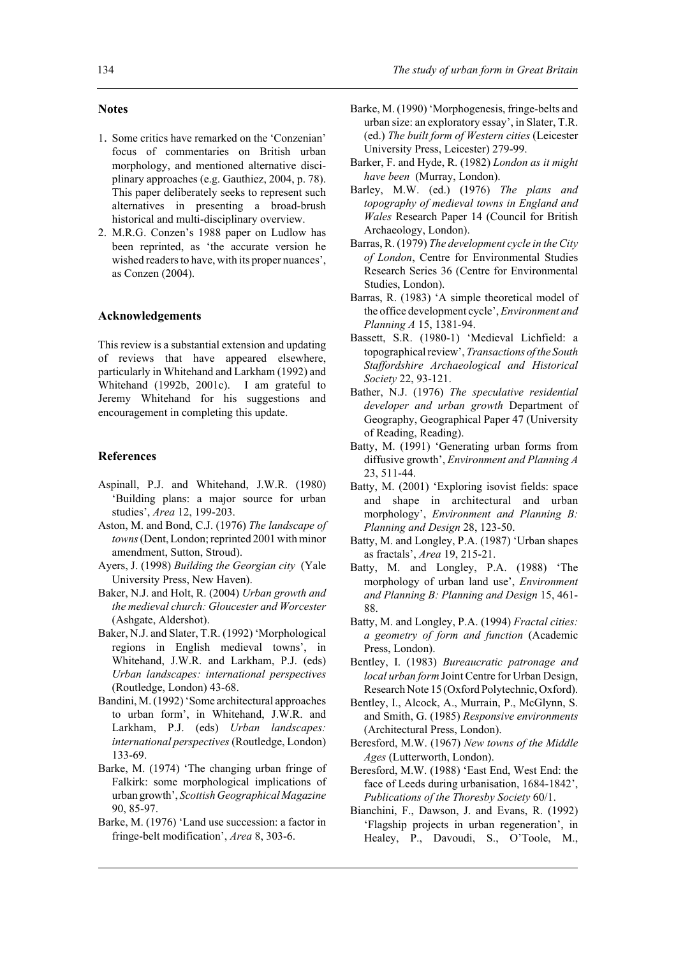### **Notes**

- 1. Some critics have remarked on the 'Conzenian' focus of commentaries on British urban morphology, and mentioned alternative disciplinary approaches (e.g. Gauthiez, 2004, p. 78). This paper deliberately seeks to represent such alternatives in presenting a broad-brush historical and multi-disciplinary overview.
- 2. M.R.G. Conzen's 1988 paper on Ludlow has been reprinted, as 'the accurate version he wished readers to have, with its proper nuances', as Conzen (2004).

#### **Acknowledgements**

This review is a substantial extension and updating of reviews that have appeared elsewhere, particularly in Whitehand and Larkham (1992) and Whitehand (1992b, 2001c). I am grateful to Jeremy Whitehand for his suggestions and encouragement in completing this update.

#### **References**

- Aspinall, P.J. and Whitehand, J.W.R. (1980) 'Building plans: a major source for urban studies', *Area* 12, 199-203.
- Aston, M. and Bond, C.J. (1976) *The landscape of towns* (Dent, London; reprinted 2001 with minor amendment, Sutton, Stroud).
- Ayers, J. (1998) *Building the Georgian city* (Yale University Press, New Haven).
- Baker, N.J. and Holt, R. (2004) *Urban growth and the medieval church: Gloucester and Worcester* (Ashgate, Aldershot).
- Baker, N.J. and Slater, T.R. (1992) 'Morphological regions in English medieval towns', in Whitehand, J.W.R. and Larkham, P.J. (eds) *Urban landscapes: international perspectives* (Routledge, London) 43-68.
- Bandini, M. (1992) 'Some architectural approaches to urban form', in Whitehand, J.W.R. and Larkham, P.J. (eds) *Urban landscapes: international perspectives* (Routledge, London) 133-69.
- Barke, M. (1974) 'The changing urban fringe of Falkirk: some morphological implications of urban growth', *Scottish Geographical Magazine* 90, 85-97.
- Barke, M. (1976) 'Land use succession: a factor in fringe-belt modification', *Area* 8, 303-6.
- Barke, M. (1990) 'Morphogenesis, fringe-belts and urban size: an exploratory essay', in Slater, T.R. (ed.) *The built form of Western cities* (Leicester University Press, Leicester) 279-99.
- Barker, F. and Hyde, R. (1982) *London as it might have been* (Murray, London).
- Barley, M.W. (ed.) (1976) *The plans and topography of medieval towns in England and Wales* Research Paper 14 (Council for British Archaeology, London).
- Barras, R. (1979) *The development cycle in the City of London*, Centre for Environmental Studies Research Series 36 (Centre for Environmental Studies, London).
- Barras, R. (1983) 'A simple theoretical model of the office development cycle', *Environment and Planning A* 15, 1381-94.
- Bassett, S.R. (1980-1) 'Medieval Lichfield: a topographical review', *Transactions of the South Staffordshire Archaeological and Historical Society* 22, 93-121.
- Bather, N.J. (1976) *The speculative residential developer and urban growth* Department of Geography, Geographical Paper 47 (University of Reading, Reading).
- Batty, M. (1991) 'Generating urban forms from diffusive growth', *Environment and Planning A* 23, 511-44.
- Batty, M. (2001) 'Exploring isovist fields: space and shape in architectural and urban morphology', *Environment and Planning B: Planning and Design* 28, 123-50.
- Batty, M. and Longley, P.A. (1987) 'Urban shapes as fractals', *Area* 19, 215-21.
- Batty, M. and Longley, P.A. (1988) 'The morphology of urban land use', *Environment and Planning B: Planning and Design* 15, 461- 88.
- Batty, M. and Longley, P.A. (1994) *Fractal cities: a geometry of form and function* (Academic Press, London).
- Bentley, I. (1983) *Bureaucratic patronage and local urban form* Joint Centre for Urban Design, Research Note 15 (Oxford Polytechnic, Oxford).
- Bentley, I., Alcock, A., Murrain, P., McGlynn, S. and Smith, G. (1985) *Responsive environments* (Architectural Press, London).
- Beresford, M.W. (1967) *New towns of the Middle Ages* (Lutterworth, London).
- Beresford, M.W. (1988) 'East End, West End: the face of Leeds during urbanisation, 1684-1842', *Publications of the Thoresby Society* 60/1.
- Bianchini, F., Dawson, J. and Evans, R. (1992) 'Flagship projects in urban regeneration', in Healey, P., Davoudi, S., O'Toole, M.,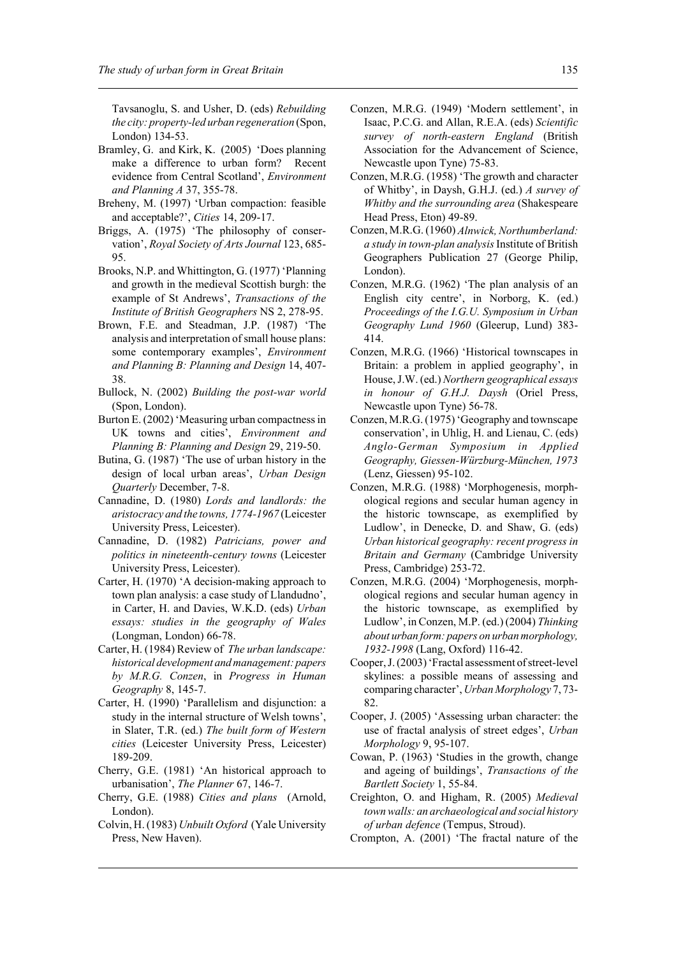Tavsanoglu, S. and Usher, D. (eds) *Rebuilding the city: property-led urban regeneration* (Spon, London) 134-53.

- Bramley, G. and Kirk, K. (2005) 'Does planning make a difference to urban form? Recent evidence from Central Scotland', *Environment and Planning A* 37, 355-78.
- Breheny, M. (1997) 'Urban compaction: feasible and acceptable?', *Cities* 14, 209-17.
- Briggs, A. (1975) 'The philosophy of conservation', *Royal Society of Arts Journal* 123, 685- 95.
- Brooks, N.P. and Whittington, G. (1977) 'Planning and growth in the medieval Scottish burgh: the example of St Andrews', *Transactions of the Institute of British Geographers* NS 2, 278-95.
- Brown, F.E. and Steadman, J.P. (1987) 'The analysis and interpretation of small house plans: some contemporary examples', *Environment and Planning B: Planning and Design* 14, 407- 38.
- Bullock, N. (2002) *Building the post-war world* (Spon, London).
- Burton E. (2002) 'Measuring urban compactness in UK towns and cities', *Environment and Planning B: Planning and Design* 29, 219-50.
- Butina, G. (1987) 'The use of urban history in the design of local urban areas', *Urban Design Quarterly* December, 7-8.
- Cannadine, D. (1980) *Lords and landlords: the aristocracy and the towns, 1774-1967* (Leicester University Press, Leicester).
- Cannadine, D. (1982) *Patricians, power and politics in nineteenth-century towns* (Leicester University Press, Leicester).
- Carter, H. (1970) 'A decision-making approach to town plan analysis: a case study of Llandudno', in Carter, H. and Davies, W.K.D. (eds) *Urban essays: studies in the geography of Wales* (Longman, London) 66-78.
- Carter, H. (1984) Review of *The urban landscape: historical development and management: papers by M.R.G. Conzen*, in *Progress in Human Geography* 8, 145-7.
- Carter, H. (1990) 'Parallelism and disjunction: a study in the internal structure of Welsh towns', in Slater, T.R. (ed.) *The built form of Western cities* (Leicester University Press, Leicester) 189-209.
- Cherry, G.E. (1981) 'An historical approach to urbanisation', *The Planner* 67, 146-7.
- Cherry, G.E. (1988) *Cities and plans* (Arnold, London).
- Colvin, H. (1983) *Unbuilt Oxford* (Yale University Press, New Haven).
- Conzen, M.R.G. (1949) 'Modern settlement', in Isaac, P.C.G. and Allan, R.E.A. (eds) *Scientific survey of north-eastern England* (British Association for the Advancement of Science, Newcastle upon Tyne) 75-83.
- Conzen, M.R.G. (1958) 'The growth and character of Whitby', in Daysh, G.H.J. (ed.) *A survey of Whitby and the surrounding area* (Shakespeare Head Press, Eton) 49-89.
- Conzen, M.R.G. (1960) *Alnwick, Northumberland: a study in town-plan analysis* Institute of British Geographers Publication 27 (George Philip, London).
- Conzen, M.R.G. (1962) 'The plan analysis of an English city centre', in Norborg, K. (ed.) *Proceedings of the I.G.U. Symposium in Urban Geography Lund 1960* (Gleerup, Lund) 383- 414.
- Conzen, M.R.G. (1966) 'Historical townscapes in Britain: a problem in applied geography', in House, J.W. (ed.) *Northern geographical essays in honour of G.H.J. Daysh* (Oriel Press, Newcastle upon Tyne) 56-78.
- Conzen, M.R.G. (1975) 'Geography and townscape conservation', in Uhlig, H. and Lienau, C. (eds) *Anglo-German Symposium in Applied Geography, Giessen-Würzburg-München, 1973* (Lenz, Giessen) 95-102.
- Conzen, M.R.G. (1988) 'Morphogenesis, morphological regions and secular human agency in the historic townscape, as exemplified by Ludlow', in Denecke, D. and Shaw, G. (eds) *Urban historical geography: recent progress in Britain and Germany* (Cambridge University Press, Cambridge) 253-72.
- Conzen, M.R.G. (2004) 'Morphogenesis, morphological regions and secular human agency in the historic townscape, as exemplified by Ludlow', in Conzen, M.P. (ed.) (2004) *Thinking about urban form: papers on urban morphology, 1932-1998* (Lang, Oxford) 116-42.
- Cooper, J. (2003) 'Fractal assessment of street-level skylines: a possible means of assessing and comparing character', *Urban Morphology* 7, 73- 82.
- Cooper, J. (2005) 'Assessing urban character: the use of fractal analysis of street edges', *Urban Morphology* 9, 95-107.
- Cowan, P. (1963) 'Studies in the growth, change and ageing of buildings', *Transactions of the Bartlett Society* 1, 55-84.
- Creighton, O. and Higham, R. (2005) *Medieval town walls: an archaeological and social history of urban defence* (Tempus, Stroud).
- Crompton, A. (2001) 'The fractal nature of the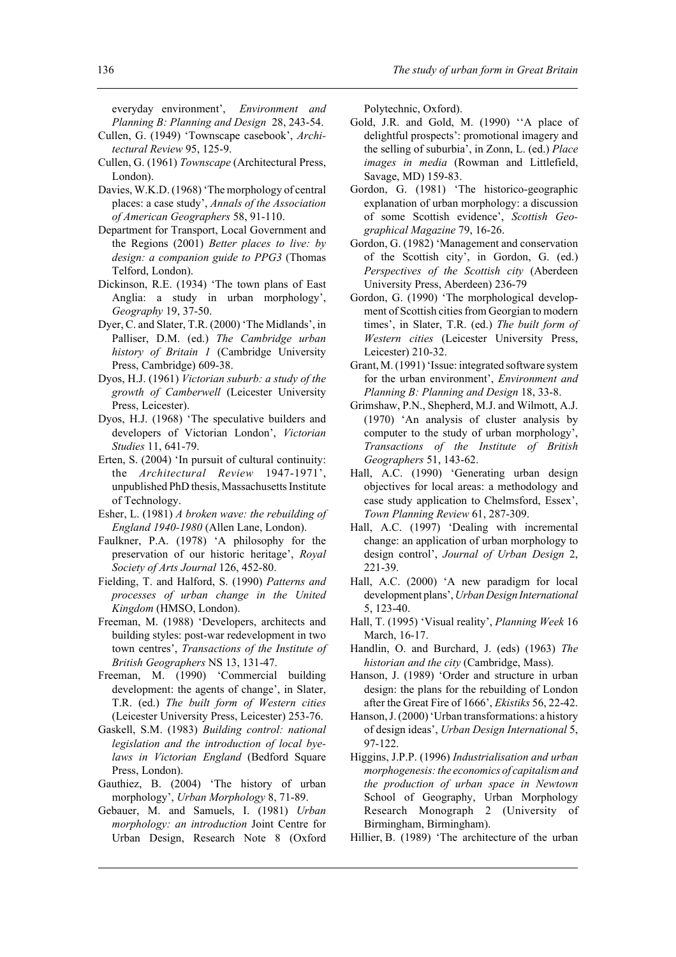everyday environment', *Environment and Planning B: Planning and Design* 28, 243-54.

- Cullen, G. (1949) 'Townscape casebook', *Architectural Review* 95, 125-9.
- Cullen, G. (1961) *Townscape* (Architectural Press, London).
- Davies, W.K.D. (1968) 'The morphology of central places: a case study', *Annals of the Association of American Geographers* 58, 91-110.
- Department for Transport, Local Government and the Regions (2001) *Better places to live: by design: a companion guide to PPG3* (Thomas Telford, London).
- Dickinson, R.E. (1934) 'The town plans of East Anglia: a study in urban morphology', *Geography* 19, 37-50.
- Dyer, C. and Slater, T.R. (2000) 'The Midlands', in Palliser, D.M. (ed.) *The Cambridge urban history of Britain 1* (Cambridge University Press, Cambridge) 609-38.
- Dyos, H.J. (1961) *Victorian suburb: a study of the growth of Camberwell* (Leicester University Press, Leicester).
- Dyos, H.J. (1968) 'The speculative builders and developers of Victorian London', *Victorian Studies* 11, 641-79.
- Erten, S. (2004) 'In pursuit of cultural continuity: the *Architectural Review* 1947-1971', unpublished PhD thesis, Massachusetts Institute of Technology.
- Esher, L. (1981) *A broken wave: the rebuilding of England 1940-1980* (Allen Lane, London).
- Faulkner, P.A. (1978) 'A philosophy for the preservation of our historic heritage', *Royal Society of Arts Journal* 126, 452-80.
- Fielding, T. and Halford, S. (1990) *Patterns and processes of urban change in the United Kingdom* (HMSO, London).
- Freeman, M. (1988) 'Developers, architects and building styles: post-war redevelopment in two town centres', *Transactions of the Institute of British Geographers* NS 13, 131-47.
- Freeman, M. (1990) 'Commercial building development: the agents of change', in Slater, T.R. (ed.) *The built form of Western cities* (Leicester University Press, Leicester) 253-76.
- Gaskell, S.M. (1983) *Building control: national legislation and the introduction of local byelaws in Victorian England* (Bedford Square Press, London).
- Gauthiez, B. (2004) 'The history of urban morphology', *Urban Morphology* 8, 71-89.
- Gebauer, M. and Samuels, I. (1981) *Urban morphology: an introduction* Joint Centre for Urban Design, Research Note 8 (Oxford

Polytechnic, Oxford).

- Gold, J.R. and Gold, M. (1990) ''A place of delightful prospects': promotional imagery and the selling of suburbia', in Zonn, L. (ed.) *Place images in media* (Rowman and Littlefield, Savage, MD) 159-83.
- Gordon, G. (1981) 'The historico-geographic explanation of urban morphology: a discussion of some Scottish evidence', *Scottish Geographical Magazine* 79, 16-26.
- Gordon, G. (1982) 'Management and conservation of the Scottish city', in Gordon, G. (ed.) *Perspectives of the Scottish city* (Aberdeen University Press, Aberdeen) 236-79
- Gordon, G. (1990) 'The morphological development of Scottish cities from Georgian to modern times', in Slater, T.R. (ed.) *The built form of Western cities* (Leicester University Press, Leicester) 210-32.
- Grant, M. (1991) 'Issue: integrated software system for the urban environment', *Environment and Planning B: Planning and Design* 18, 33-8.
- Grimshaw, P.N., Shepherd, M.J. and Wilmott, A.J. (1970) 'An analysis of cluster analysis by computer to the study of urban morphology', *Transactions of the Institute of British Geographers* 51, 143-62.
- Hall, A.C. (1990) 'Generating urban design objectives for local areas: a methodology and case study application to Chelmsford, Essex', *Town Planning Review* 61, 287-309.
- Hall, A.C. (1997) 'Dealing with incremental change: an application of urban morphology to design control', *Journal of Urban Design* 2, 221-39.
- Hall, A.C. (2000) 'A new paradigm for local development plans', *Urban Design International* 5, 123-40.
- Hall, T. (1995) 'Visual reality', *Planning Week* 16 March, 16-17.
- Handlin, O. and Burchard, J. (eds) (1963) *The historian and the city* (Cambridge, Mass).
- Hanson, J. (1989) 'Order and structure in urban design: the plans for the rebuilding of London after the Great Fire of 1666', *Ekistiks* 56, 22-42.
- Hanson, J. (2000) 'Urban transformations: a history of design ideas', *Urban Design International* 5, 97-122.
- Higgins, J.P.P. (1996) *Industrialisation and urban morphogenesis: the economics of capitalism and the production of urban space in Newtown* School of Geography, Urban Morphology Research Monograph 2 (University of Birmingham, Birmingham).
- Hillier, B. (1989) 'The architecture of the urban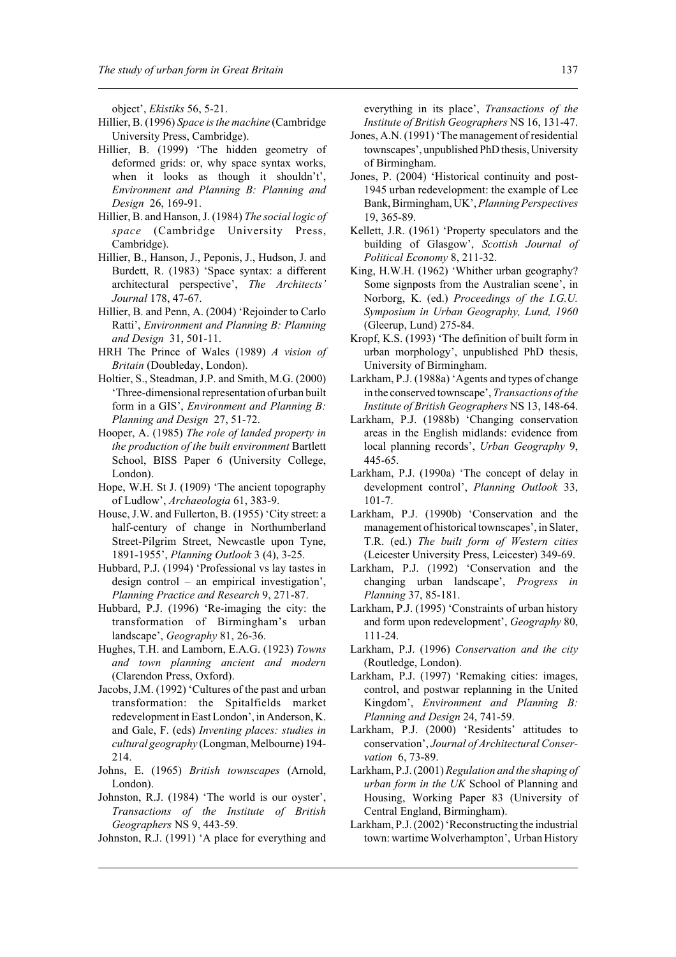object', *Ekistiks* 56, 5-21.

- Hillier, B. (1996) *Space is the machine* (Cambridge University Press, Cambridge).
- Hillier, B. (1999) 'The hidden geometry of deformed grids: or, why space syntax works, when it looks as though it shouldn't', *Environment and Planning B: Planning and Design* 26, 169-91.
- Hillier, B. and Hanson, J. (1984) *The social logic of space* (Cambridge University Press, Cambridge).
- Hillier, B., Hanson, J., Peponis, J., Hudson, J. and Burdett, R. (1983) 'Space syntax: a different architectural perspective', *The Architects' Journal* 178, 47-67.
- Hillier, B. and Penn, A. (2004) 'Rejoinder to Carlo Ratti', *Environment and Planning B: Planning and Design* 31, 501-11.
- HRH The Prince of Wales (1989) *A vision of Britain* (Doubleday, London).
- Holtier, S., Steadman, J.P. and Smith, M.G. (2000) 'Three-dimensional representation of urban built form in a GIS', *Environment and Planning B: Planning and Design* 27, 51-72.
- Hooper, A. (1985) *The role of landed property in the production of the built environment* Bartlett School, BISS Paper 6 (University College, London).
- Hope, W.H. St J. (1909) 'The ancient topography of Ludlow', *Archaeologia* 61, 383-9.
- House, J.W. and Fullerton, B. (1955) 'City street: a half-century of change in Northumberland Street-Pilgrim Street, Newcastle upon Tyne, 1891-1955', *Planning Outlook* 3 (4), 3-25.
- Hubbard, P.J. (1994) 'Professional vs lay tastes in design control – an empirical investigation', *Planning Practice and Research* 9, 271-87.
- Hubbard, P.J. (1996) 'Re-imaging the city: the transformation of Birmingham's urban landscape', *Geography* 81, 26-36.
- Hughes, T.H. and Lamborn, E.A.G. (1923) *Towns and town planning ancient and modern* (Clarendon Press, Oxford).
- Jacobs, J.M. (1992) 'Cultures of the past and urban transformation: the Spitalfields market redevelopment in East London', in Anderson, K. and Gale, F. (eds) *Inventing places: studies in cultural geography* (Longman, Melbourne) 194- 214.
- Johns, E. (1965) *British townscapes* (Arnold, London).
- Johnston, R.J. (1984) 'The world is our oyster', *Transactions of the Institute of British Geographers* NS 9, 443-59.
- Johnston, R.J. (1991) 'A place for everything and

everything in its place', *Transactions of the Institute of British Geographers* NS 16, 131-47.

- Jones, A.N. (1991) 'The management of residential townscapes', unpublished PhD thesis, University of Birmingham.
- Jones, P. (2004) 'Historical continuity and post-1945 urban redevelopment: the example of Lee Bank, Birmingham, UK', *Planning Perspectives* 19, 365-89.
- Kellett, J.R. (1961) 'Property speculators and the building of Glasgow', *Scottish Journal of Political Economy* 8, 211-32.
- King, H.W.H. (1962) 'Whither urban geography? Some signposts from the Australian scene', in Norborg, K. (ed.) *Proceedings of the I.G.U. Symposium in Urban Geography, Lund, 1960* (Gleerup, Lund) 275-84.
- Kropf, K.S. (1993) 'The definition of built form in urban morphology', unpublished PhD thesis, University of Birmingham.
- Larkham, P.J. (1988a) 'Agents and types of change in the conserved townscape', *Transactions of the Institute of British Geographers* NS 13, 148-64.
- Larkham, P.J. (1988b) 'Changing conservation areas in the English midlands: evidence from local planning records', *Urban Geography* 9, 445-65.
- Larkham, P.J. (1990a) 'The concept of delay in development control', *Planning Outlook* 33, 101-7.
- Larkham, P.J. (1990b) 'Conservation and the management of historical townscapes', in Slater, T.R. (ed.) *The built form of Western cities* (Leicester University Press, Leicester) 349-69.
- Larkham, P.J. (1992) 'Conservation and the changing urban landscape', *Progress in Planning* 37, 85-181.
- Larkham, P.J. (1995) 'Constraints of urban history and form upon redevelopment', *Geography* 80, 111-24.
- Larkham, P.J. (1996) *Conservation and the city* (Routledge, London).
- Larkham, P.J. (1997) 'Remaking cities: images, control, and postwar replanning in the United Kingdom', *Environment and Planning B: Planning and Design* 24, 741-59.
- Larkham, P.J. (2000) 'Residents' attitudes to conservation', *Journal of Architectural Conservation* 6, 73-89.
- Larkham, P.J. (2001) *Regulation and the shaping of urban form in the UK* School of Planning and Housing, Working Paper 83 (University of Central England, Birmingham).
- Larkham, P.J. (2002) 'Reconstructing the industrial town: wartime Wolverhampton', Urban History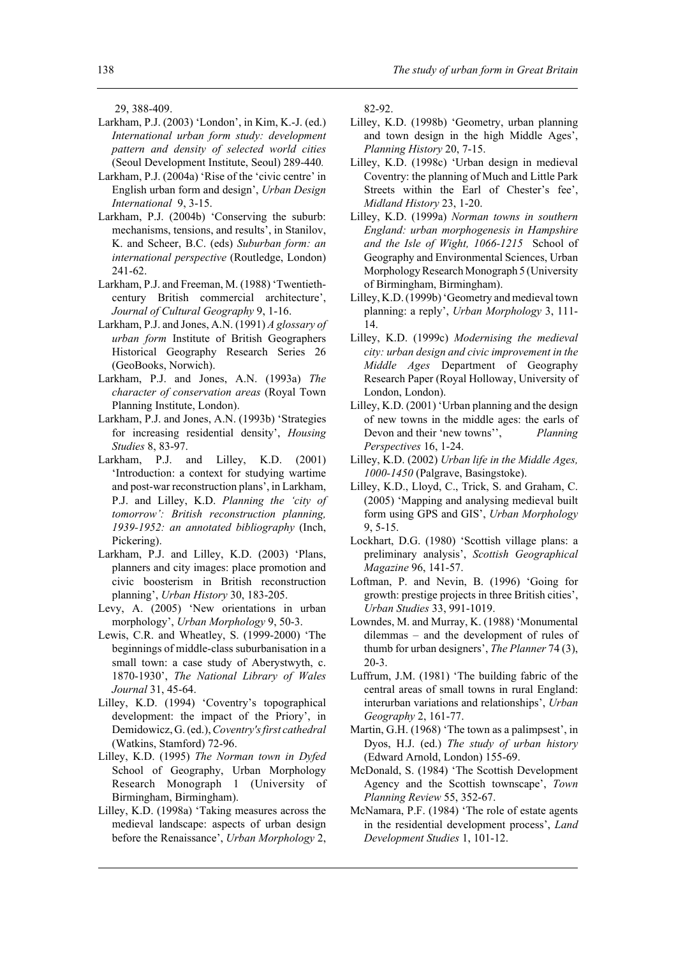29, 388-409.

- Larkham, P.J. (2003) 'London', in Kim, K.-J. (ed.) *International urban form study: development pattern and density of selected world cities* (Seoul Development Institute, Seoul) 289-440*.*
- Larkham, P.J. (2004a) 'Rise of the 'civic centre' in English urban form and design', *Urban Design International* 9, 3-15.
- Larkham, P.J. (2004b) 'Conserving the suburb: mechanisms, tensions, and results', in Stanilov, K. and Scheer, B.C. (eds) *Suburban form: an international perspective* (Routledge, London) 241-62.
- Larkham, P.J. and Freeman, M. (1988) 'Twentiethcentury British commercial architecture', *Journal of Cultural Geography* 9, 1-16.
- Larkham, P.J. and Jones, A.N. (1991) *A glossary of urban form* Institute of British Geographers Historical Geography Research Series 26 (GeoBooks, Norwich).
- Larkham, P.J. and Jones, A.N. (1993a) *The character of conservation areas* (Royal Town Planning Institute, London).
- Larkham, P.J. and Jones, A.N. (1993b) 'Strategies for increasing residential density', *Housing Studies* 8, 83-97.
- Larkham, P.J. and Lilley, K.D. (2001) 'Introduction: a context for studying wartime and post-war reconstruction plans', in Larkham, P.J. and Lilley, K.D. *Planning the 'city of tomorrow': British reconstruction planning, 1939-1952: an annotated bibliography* (Inch, Pickering).
- Larkham, P.J. and Lilley, K.D. (2003) 'Plans, planners and city images: place promotion and civic boosterism in British reconstruction planning', *Urban History* 30, 183-205.
- Levy, A. (2005) 'New orientations in urban morphology', *Urban Morphology* 9, 50-3.
- Lewis, C.R. and Wheatley, S. (1999-2000) 'The beginnings of middle-class suburbanisation in a small town: a case study of Aberystwyth, c. 1870-1930', *The National Library of Wales Journal* 31, 45-64.
- Lilley, K.D. (1994) 'Coventry's topographical development: the impact of the Priory', in Demidowicz, G. (ed.), *Coventry's first cathedral* (Watkins, Stamford) 72-96.
- Lilley, K.D. (1995) *The Norman town in Dyfed* School of Geography, Urban Morphology Research Monograph 1 (University of Birmingham, Birmingham).
- Lilley, K.D. (1998a) 'Taking measures across the medieval landscape: aspects of urban design before the Renaissance', *Urban Morphology* 2,

82-92.

- Lilley, K.D. (1998b) 'Geometry, urban planning and town design in the high Middle Ages', *Planning History* 20, 7-15.
- Lilley, K.D. (1998c) 'Urban design in medieval Coventry: the planning of Much and Little Park Streets within the Earl of Chester's fee', *Midland History* 23, 1-20.
- Lilley, K.D. (1999a) *Norman towns in southern England: urban morphogenesis in Hampshire and the Isle of Wight, 1066-1215* School of Geography and Environmental Sciences, Urban Morphology Research Monograph 5 (University of Birmingham, Birmingham).
- Lilley, K.D. (1999b) 'Geometry and medieval town planning: a reply', *Urban Morphology* 3, 111- 14.
- Lilley, K.D. (1999c) *Modernising the medieval city: urban design and civic improvement in the Middle Ages* Department of Geography Research Paper (Royal Holloway, University of London, London).
- Lilley, K.D. (2001) 'Urban planning and the design of new towns in the middle ages: the earls of Devon and their 'new towns'', *Planning Perspectives* 16, 1-24.
- Lilley, K.D. (2002) *Urban life in the Middle Ages, 1000-1450* (Palgrave, Basingstoke).
- Lilley, K.D., Lloyd, C., Trick, S. and Graham, C. (2005) 'Mapping and analysing medieval built form using GPS and GIS', *Urban Morphology* 9, 5-15.
- Lockhart, D.G. (1980) 'Scottish village plans: a preliminary analysis', *Scottish Geographical Magazine* 96, 141-57.
- Loftman, P. and Nevin, B. (1996) 'Going for growth: prestige projects in three British cities', *Urban Studies* 33, 991-1019.
- Lowndes, M. and Murray, K. (1988) 'Monumental dilemmas – and the development of rules of thumb for urban designers', *The Planner* 74 (3), 20-3.
- Luffrum, J.M. (1981) 'The building fabric of the central areas of small towns in rural England: interurban variations and relationships', *Urban Geography* 2, 161-77.
- Martin, G.H. (1968) 'The town as a palimpsest', in Dyos, H.J. (ed.) *The study of urban history* (Edward Arnold, London) 155-69.
- McDonald, S. (1984) 'The Scottish Development Agency and the Scottish townscape', *Town Planning Review* 55, 352-67.
- McNamara, P.F. (1984) 'The role of estate agents in the residential development process', *Land Development Studies* 1, 101-12.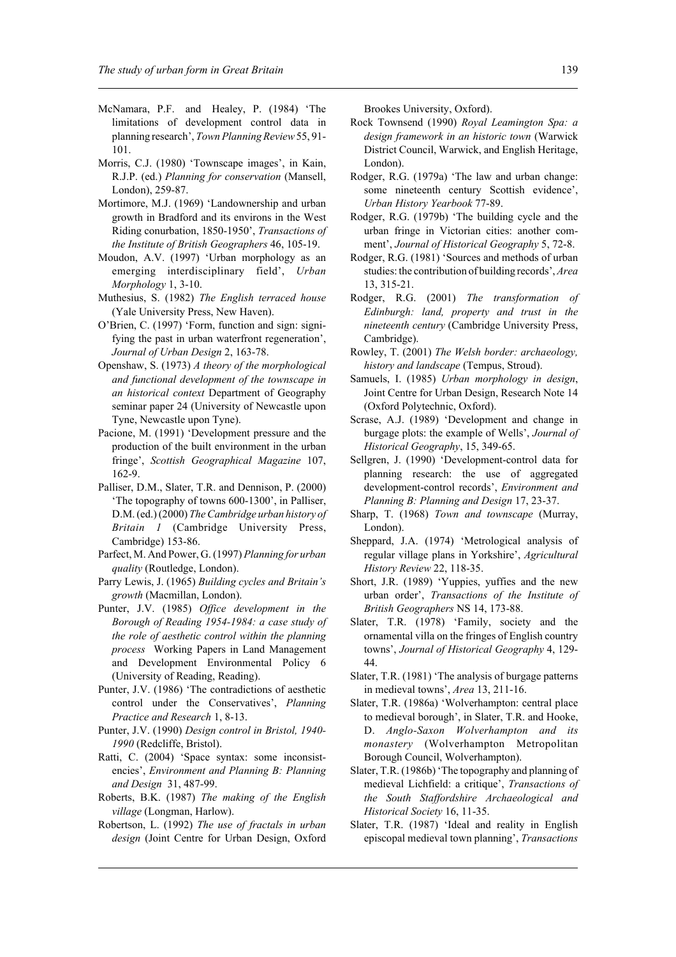- McNamara, P.F. and Healey, P. (1984) 'The limitations of development control data in planning research', *Town Planning Review* 55, 91- 101.
- Morris, C.J. (1980) 'Townscape images', in Kain, R.J.P. (ed.) *Planning for conservation* (Mansell, London), 259-87.
- Mortimore, M.J. (1969) 'Landownership and urban growth in Bradford and its environs in the West Riding conurbation, 1850-1950', *Transactions of the Institute of British Geographers* 46, 105-19.
- Moudon, A.V. (1997) 'Urban morphology as an emerging interdisciplinary field', *Urban Morphology* 1, 3-10.
- Muthesius, S. (1982) *The English terraced house* (Yale University Press, New Haven).
- O'Brien, C. (1997) 'Form, function and sign: signifying the past in urban waterfront regeneration', *Journal of Urban Design* 2, 163-78.
- Openshaw, S. (1973) *A theory of the morphological and functional development of the townscape in an historical context* Department of Geography seminar paper 24 (University of Newcastle upon Tyne, Newcastle upon Tyne).
- Pacione, M. (1991) 'Development pressure and the production of the built environment in the urban fringe', *Scottish Geographical Magazine* 107, 162-9.
- Palliser, D.M., Slater, T.R. and Dennison, P. (2000) 'The topography of towns 600-1300', in Palliser, D.M. (ed.) (2000) *The Cambridge urban history of Britain 1* (Cambridge University Press, Cambridge) 153-86.
- Parfect, M. And Power, G. (1997) *Planning for urban quality* (Routledge, London).
- Parry Lewis, J. (1965) *Building cycles and Britain's growth* (Macmillan, London).
- Punter, J.V. (1985) *Office development in the Borough of Reading 1954-1984: a case study of the role of aesthetic control within the planning process* Working Papers in Land Management and Development Environmental Policy 6 (University of Reading, Reading).
- Punter, J.V. (1986) 'The contradictions of aesthetic control under the Conservatives', *Planning Practice and Research* 1, 8-13.
- Punter, J.V. (1990) *Design control in Bristol, 1940- 1990* (Redcliffe, Bristol).
- Ratti, C. (2004) 'Space syntax: some inconsistencies', *Environment and Planning B: Planning and Design* 31, 487-99.
- Roberts, B.K. (1987) *The making of the English village* (Longman, Harlow).
- Robertson, L. (1992) *The use of fractals in urban design* (Joint Centre for Urban Design, Oxford

Brookes University, Oxford).

- Rock Townsend (1990) *Royal Leamington Spa: a design framework in an historic town* (Warwick District Council, Warwick, and English Heritage, London).
- Rodger, R.G. (1979a) 'The law and urban change: some nineteenth century Scottish evidence', *Urban History Yearbook* 77-89.
- Rodger, R.G. (1979b) 'The building cycle and the urban fringe in Victorian cities: another comment', *Journal of Historical Geography* 5, 72-8.
- Rodger, R.G. (1981) 'Sources and methods of urban studies: the contribution of building records', *Area* 13, 315-21.
- Rodger, R.G. (2001) *The transformation of Edinburgh: land, property and trust in the nineteenth century* (Cambridge University Press, Cambridge).
- Rowley, T. (2001) *The Welsh border: archaeology, history and landscape* (Tempus, Stroud).
- Samuels, I. (1985) *Urban morphology in design*, Joint Centre for Urban Design, Research Note 14 (Oxford Polytechnic, Oxford).
- Scrase, A.J. (1989) 'Development and change in burgage plots: the example of Wells', *Journal of Historical Geography*, 15, 349-65.
- Sellgren, J. (1990) 'Development-control data for planning research: the use of aggregated development-control records', *Environment and Planning B: Planning and Design* 17, 23-37.
- Sharp, T. (1968) *Town and townscape* (Murray, London).
- Sheppard, J.A. (1974) 'Metrological analysis of regular village plans in Yorkshire', *Agricultural History Review* 22, 118-35.
- Short, J.R. (1989) 'Yuppies, yuffies and the new urban order', *Transactions of the Institute of British Geographers* NS 14, 173-88.
- Slater, T.R. (1978) 'Family, society and the ornamental villa on the fringes of English country towns', *Journal of Historical Geography* 4, 129- 44.
- Slater, T.R. (1981) 'The analysis of burgage patterns in medieval towns', *Area* 13, 211-16.
- Slater, T.R. (1986a) 'Wolverhampton: central place to medieval borough', in Slater, T.R. and Hooke, D. *Anglo-Saxon Wolverhampton and its monastery* (Wolverhampton Metropolitan Borough Council, Wolverhampton).
- Slater, T.R. (1986b) 'The topography and planning of medieval Lichfield: a critique', *Transactions of the South Staffordshire Archaeological and Historical Society* 16, 11-35.
- Slater, T.R. (1987) 'Ideal and reality in English episcopal medieval town planning', *Transactions*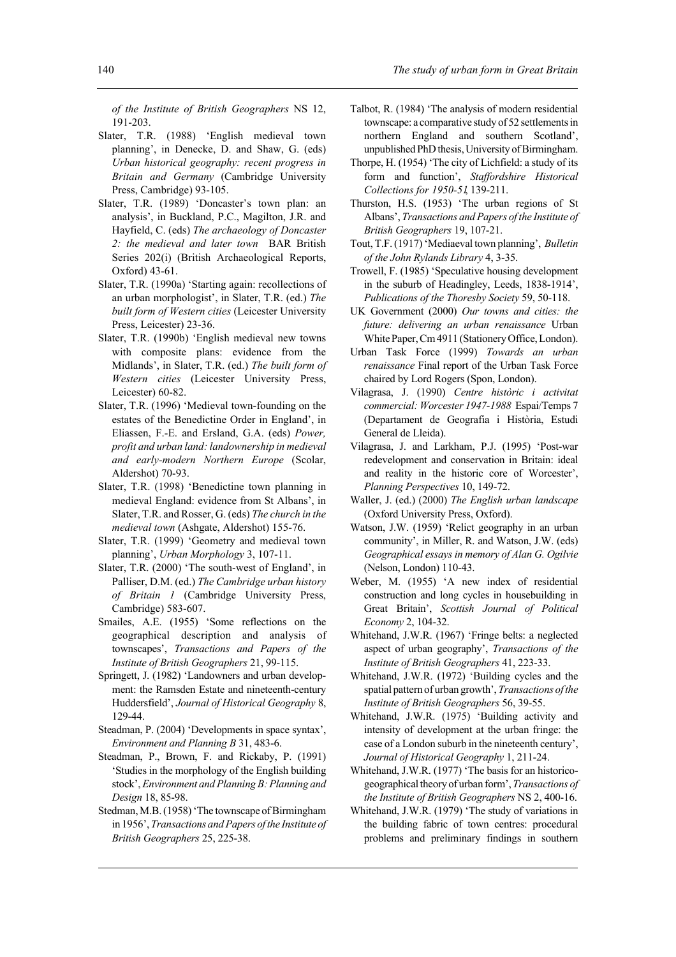*of the Institute of British Geographers* NS 12, 191-203.

- Slater, T.R. (1988) 'English medieval town planning', in Denecke, D. and Shaw, G. (eds) *Urban historical geography: recent progress in Britain and Germany* (Cambridge University Press, Cambridge) 93-105.
- Slater, T.R. (1989) 'Doncaster's town plan: an analysis', in Buckland, P.C., Magilton, J.R. and Hayfield, C. (eds) *The archaeology of Doncaster 2: the medieval and later town* BAR British Series 202(i) (British Archaeological Reports, Oxford) 43-61.
- Slater, T.R. (1990a) 'Starting again: recollections of an urban morphologist', in Slater, T.R. (ed.) *The built form of Western cities* (Leicester University Press, Leicester) 23-36.
- Slater, T.R. (1990b) 'English medieval new towns with composite plans: evidence from the Midlands', in Slater, T.R. (ed.) *The built form of Western cities* (Leicester University Press, Leicester) 60-82.
- Slater, T.R. (1996) 'Medieval town-founding on the estates of the Benedictine Order in England', in Eliassen, F.-E. and Ersland, G.A. (eds) *Power, profit and urban land: landownership in medieval and early-modern Northern Europe* (Scolar, Aldershot) 70-93.
- Slater, T.R. (1998) 'Benedictine town planning in medieval England: evidence from St Albans', in Slater, T.R. and Rosser, G. (eds) *The church in the medieval town* (Ashgate, Aldershot) 155-76.
- Slater, T.R. (1999) 'Geometry and medieval town planning', *Urban Morphology* 3, 107-11.
- Slater, T.R. (2000) 'The south-west of England', in Palliser, D.M. (ed.) *The Cambridge urban history of Britain 1* (Cambridge University Press, Cambridge) 583-607.
- Smailes, A.E. (1955) 'Some reflections on the geographical description and analysis of townscapes', *Transactions and Papers of the Institute of British Geographers* 21, 99-115.
- Springett, J. (1982) 'Landowners and urban development: the Ramsden Estate and nineteenth-century Huddersfield', *Journal of Historical Geography* 8, 129-44.
- Steadman, P. (2004) 'Developments in space syntax', *Environment and Planning B* 31, 483-6.
- Steadman, P., Brown, F. and Rickaby, P. (1991) 'Studies in the morphology of the English building stock', *Environment and Planning B: Planning and Design* 18, 85-98.
- Stedman, M.B. (1958) 'The townscape of Birmingham in 1956', *Transactions and Papers of the Institute of British Geographers* 25, 225-38.
- Talbot, R. (1984) 'The analysis of modern residential townscape: a comparative study of 52 settlements in northern England and southern Scotland', unpublished PhD thesis, University of Birmingham.
- Thorpe, H. (1954) 'The city of Lichfield: a study of its form and function', *Staffordshire Historical Collections for 1950-51*, 139-211.
- Thurston, H.S. (1953) 'The urban regions of St Albans', *Transactions and Papers of the Institute of British Geographers* 19, 107-21.
- Tout, T.F. (1917) 'Mediaeval town planning', *Bulletin of the John Rylands Library* 4, 3-35.
- Trowell, F. (1985) 'Speculative housing development in the suburb of Headingley, Leeds, 1838-1914', *Publications of the Thoresby Society* 59, 50-118.
- UK Government (2000) *Our towns and cities: the future: delivering an urban renaissance* Urban White Paper, Cm 4911 (Stationery Office, London).
- Urban Task Force (1999) *Towards an urban renaissance* Final report of the Urban Task Force chaired by Lord Rogers (Spon, London).
- Vilagrasa, J. (1990) *Centre històric i activitat commercial: Worcester 1947-1988* Espai/Temps 7 (Departament de Geografia i Història, Estudi General de Lleida).
- Vilagrasa, J. and Larkham, P.J. (1995) 'Post-war redevelopment and conservation in Britain: ideal and reality in the historic core of Worcester', *Planning Perspectives* 10, 149-72.
- Waller, J. (ed.) (2000) *The English urban landscape* (Oxford University Press, Oxford).
- Watson, J.W. (1959) 'Relict geography in an urban community', in Miller, R. and Watson, J.W. (eds) *Geographical essays in memory of Alan G. Ogilvie* (Nelson, London) 110-43.
- Weber, M. (1955) 'A new index of residential construction and long cycles in housebuilding in Great Britain', *Scottish Journal of Political Economy* 2, 104-32.
- Whitehand, J.W.R. (1967) 'Fringe belts: a neglected aspect of urban geography', *Transactions of the Institute of British Geographers* 41, 223-33.
- Whitehand, J.W.R. (1972) 'Building cycles and the spatial pattern of urban growth', *Transactions of the Institute of British Geographers* 56, 39-55.
- Whitehand, J.W.R. (1975) 'Building activity and intensity of development at the urban fringe: the case of a London suburb in the nineteenth century', *Journal of Historical Geography* 1, 211-24.
- Whitehand, J.W.R. (1977) 'The basis for an historicogeographical theory of urban form', *Transactions of the Institute of British Geographers* NS 2, 400-16.
- Whitehand, J.W.R. (1979) 'The study of variations in the building fabric of town centres: procedural problems and preliminary findings in southern